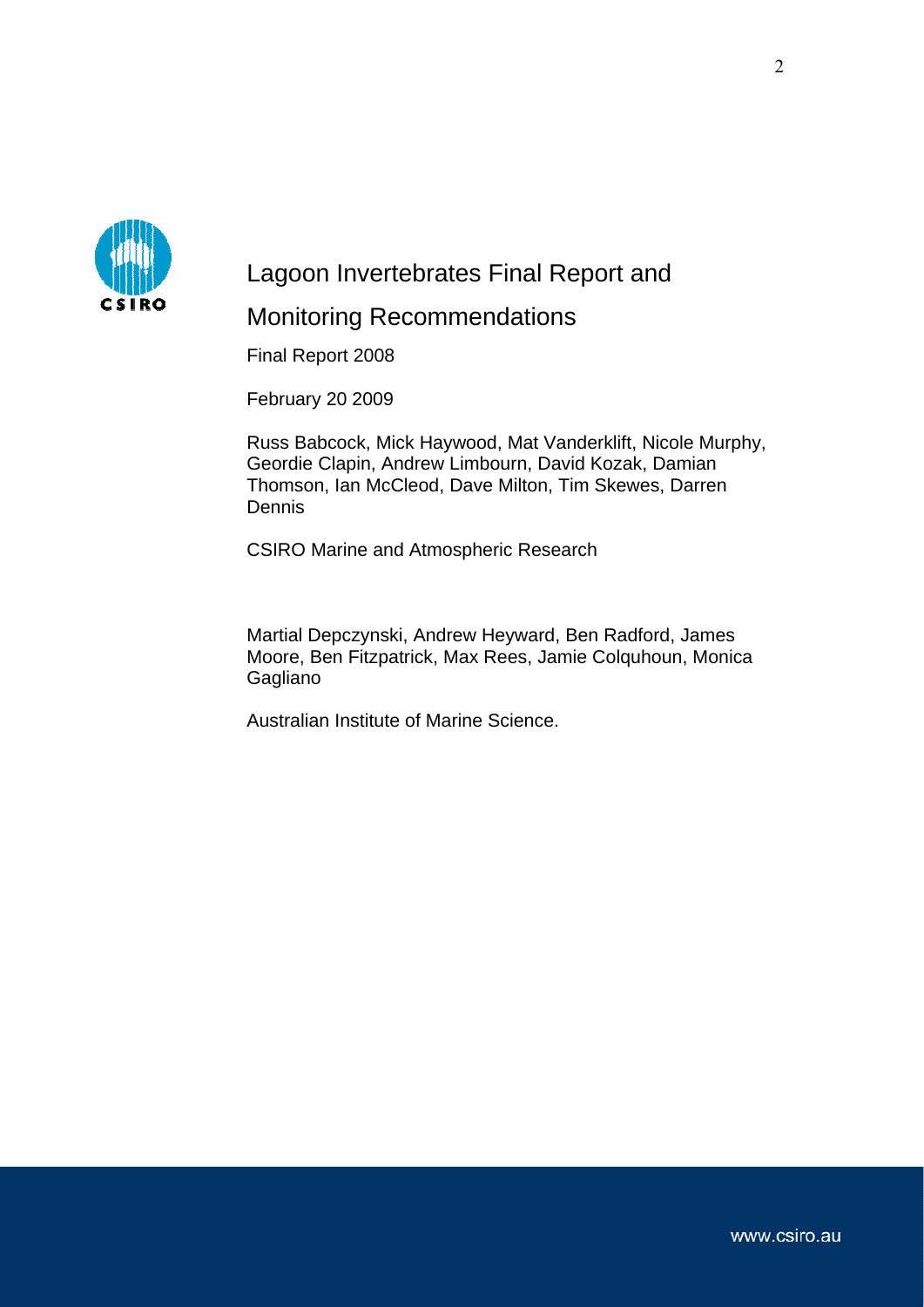

# Lagoon Invertebrates Final Report and Monitoring Recommendations

Final Report 2008

February 20 2009

Russ Babcock, Mick Haywood, Mat Vanderklift, Nicole Murphy, Geordie Clapin, Andrew Limbourn, David Kozak, Damian Thomson, Ian McCleod, Dave Milton, Tim Skewes, Darren Dennis

CSIRO Marine and Atmospheric Research

Martial Depczynski, Andrew Heyward, Ben Radford, James Moore, Ben Fitzpatrick, Max Rees, Jamie Colquhoun, Monica Gagliano

Australian Institute of Marine Science.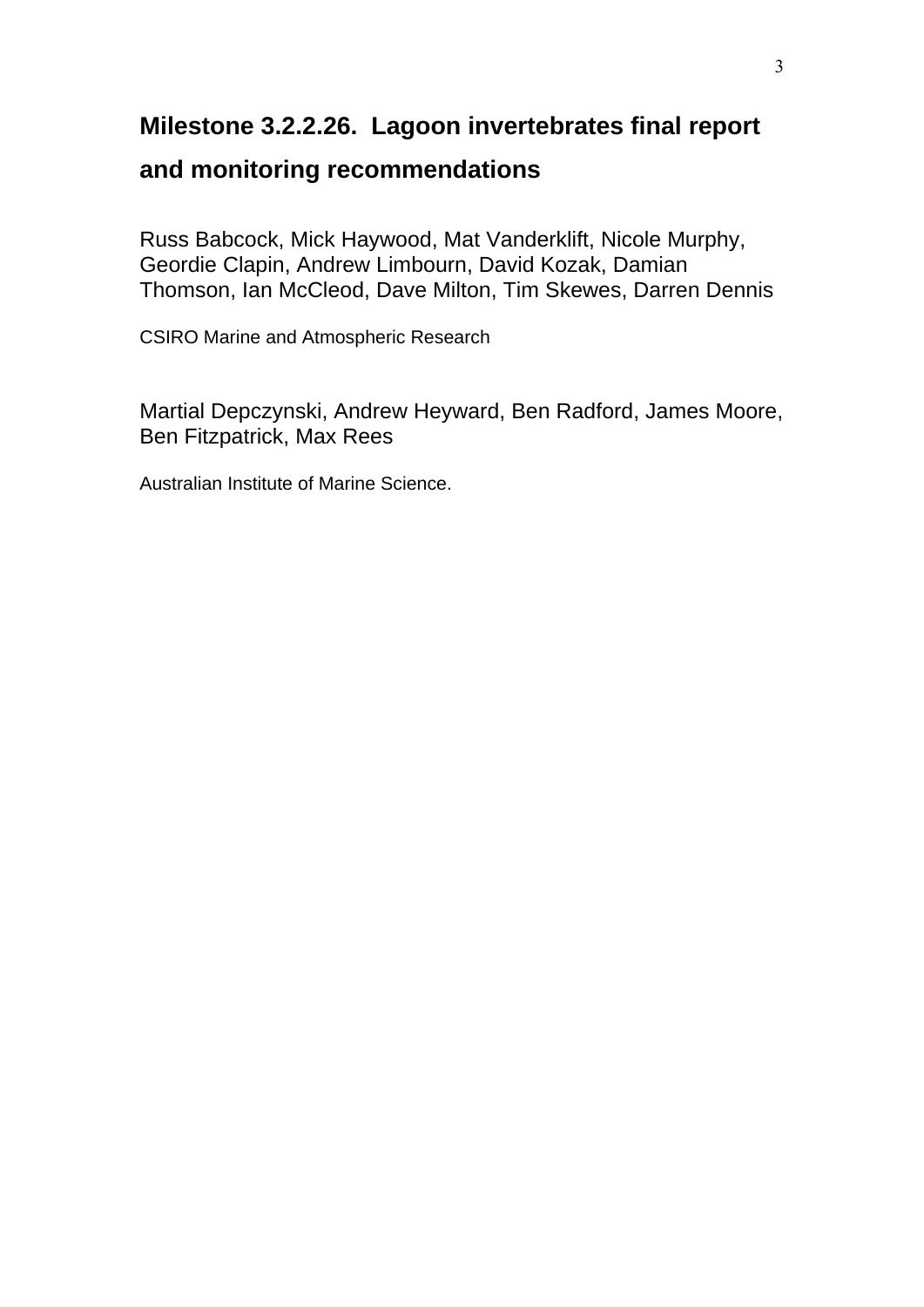## **Milestone 3.2.2.26. Lagoon invertebrates final report**

## **and monitoring recommendations**

Russ Babcock, Mick Haywood, Mat Vanderklift, Nicole Murphy, Geordie Clapin, Andrew Limbourn, David Kozak, Damian Thomson, Ian McCleod, Dave Milton, Tim Skewes, Darren Dennis

CSIRO Marine and Atmospheric Research

Martial Depczynski, Andrew Heyward, Ben Radford, James Moore, Ben Fitzpatrick, Max Rees

Australian Institute of Marine Science.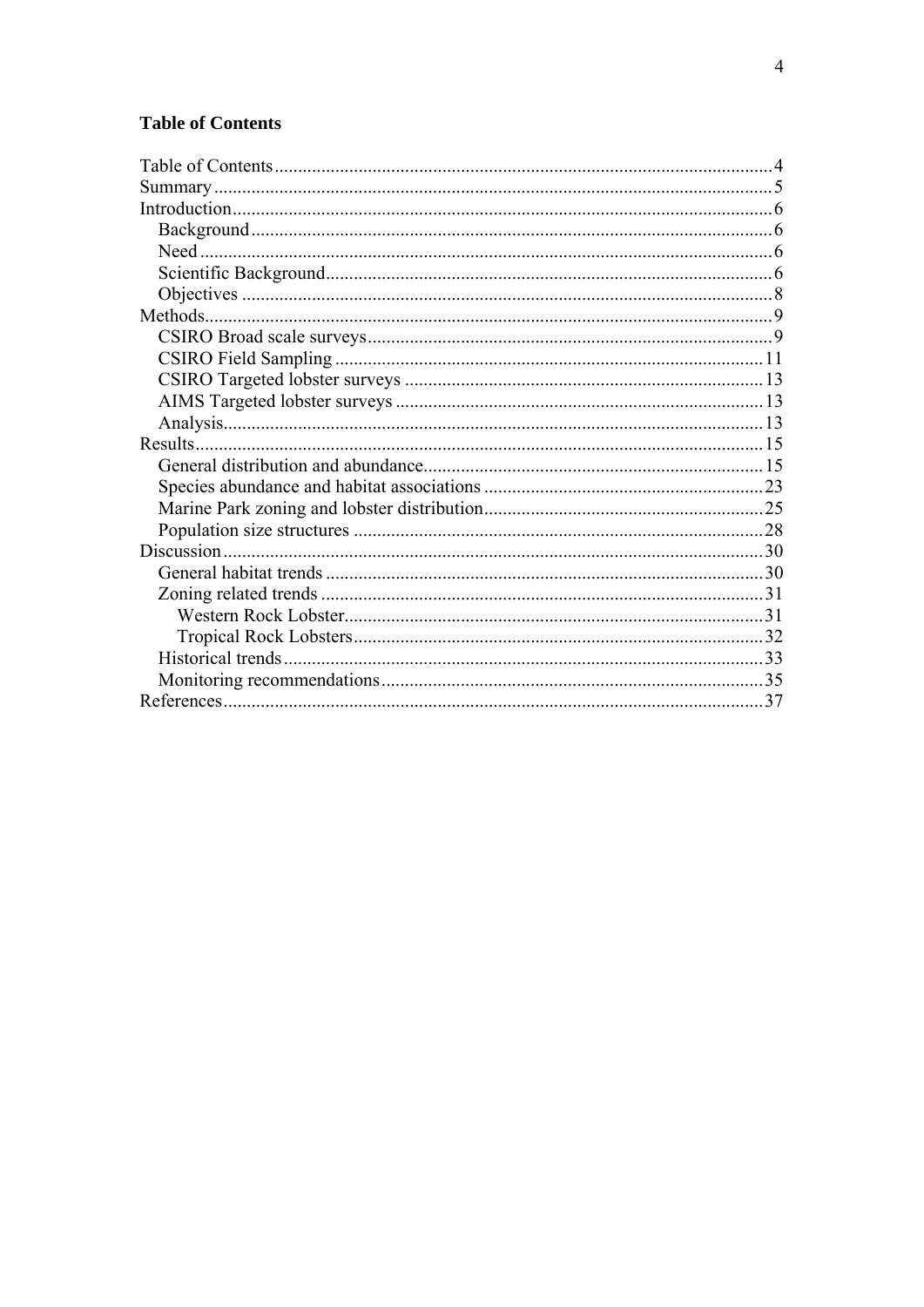## <span id="page-2-0"></span>**Table of Contents**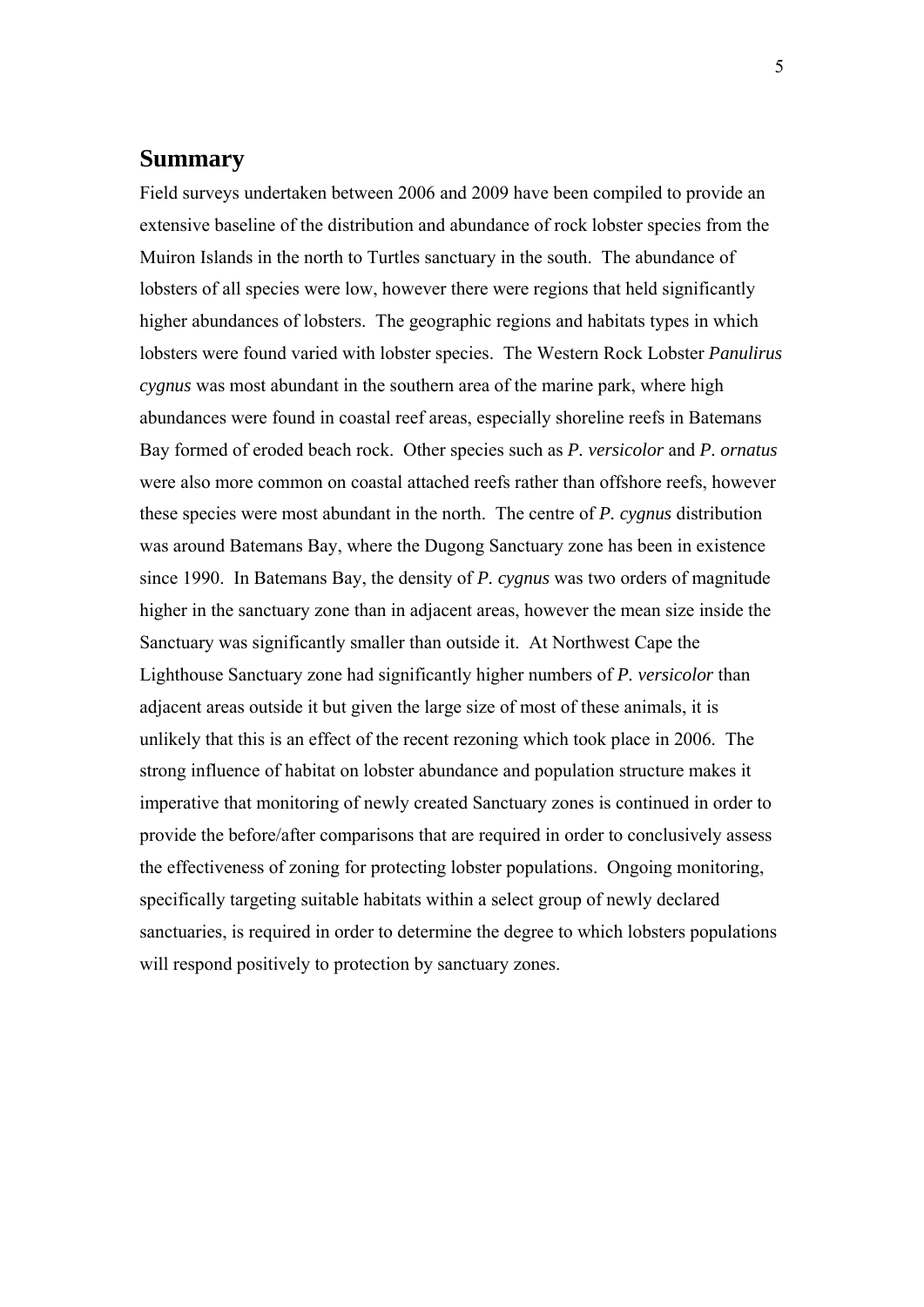### <span id="page-3-0"></span>**Summary**

Field surveys undertaken between 2006 and 2009 have been compiled to provide an extensive baseline of the distribution and abundance of rock lobster species from the Muiron Islands in the north to Turtles sanctuary in the south. The abundance of lobsters of all species were low, however there were regions that held significantly higher abundances of lobsters. The geographic regions and habitats types in which lobsters were found varied with lobster species. The Western Rock Lobster *Panulirus cygnus* was most abundant in the southern area of the marine park, where high abundances were found in coastal reef areas, especially shoreline reefs in Batemans Bay formed of eroded beach rock. Other species such as *P. versicolor* and *P. ornatus* were also more common on coastal attached reefs rather than offshore reefs, however these species were most abundant in the north. The centre of *P. cygnus* distribution was around Batemans Bay, where the Dugong Sanctuary zone has been in existence since 1990. In Batemans Bay, the density of *P. cygnus* was two orders of magnitude higher in the sanctuary zone than in adjacent areas, however the mean size inside the Sanctuary was significantly smaller than outside it. At Northwest Cape the Lighthouse Sanctuary zone had significantly higher numbers of *P. versicolor* than adjacent areas outside it but given the large size of most of these animals, it is unlikely that this is an effect of the recent rezoning which took place in 2006. The strong influence of habitat on lobster abundance and population structure makes it imperative that monitoring of newly created Sanctuary zones is continued in order to provide the before/after comparisons that are required in order to conclusively assess the effectiveness of zoning for protecting lobster populations. Ongoing monitoring, specifically targeting suitable habitats within a select group of newly declared sanctuaries, is required in order to determine the degree to which lobsters populations will respond positively to protection by sanctuary zones.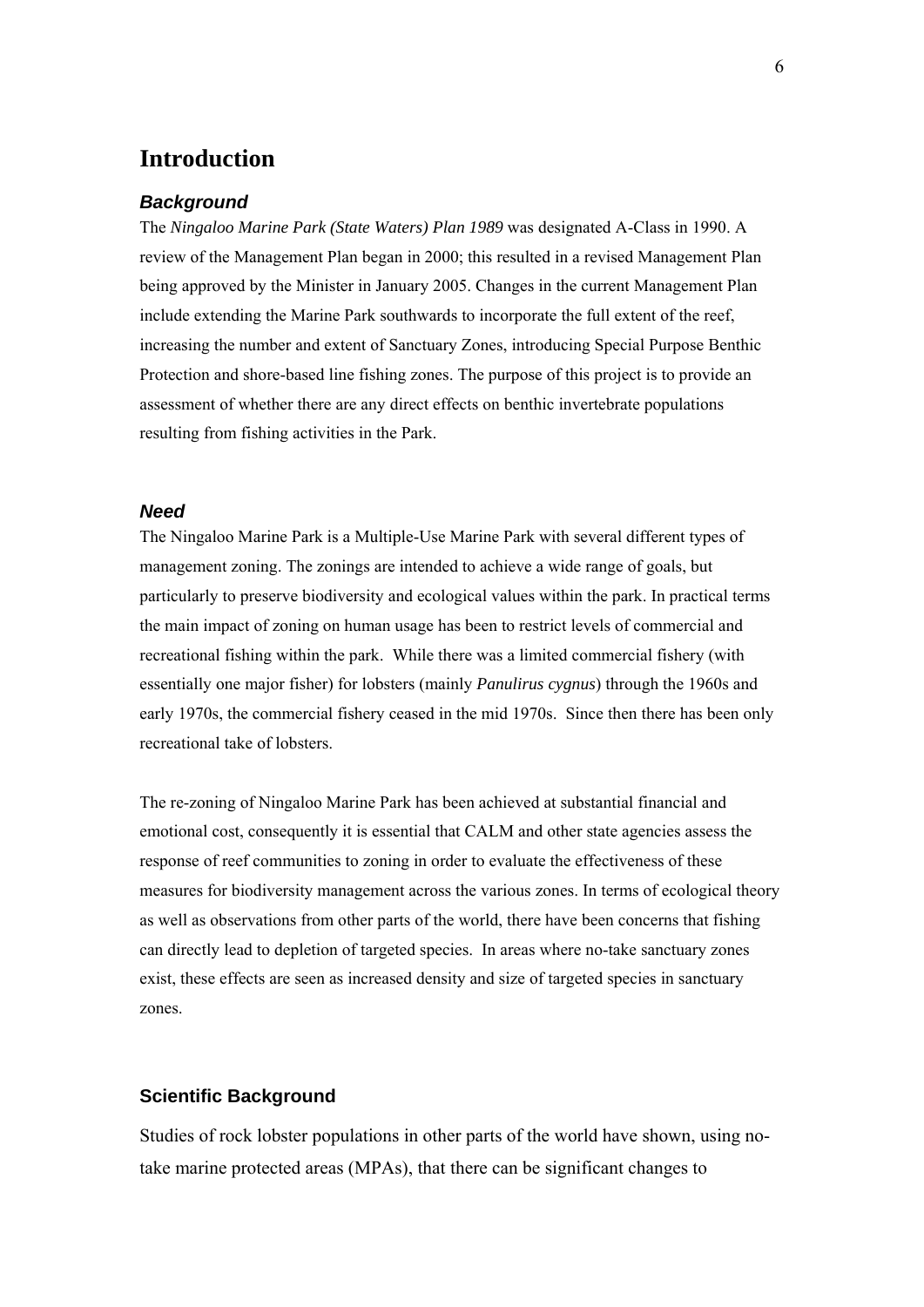## <span id="page-4-0"></span>**Introduction**

#### *Background*

The *Ningaloo Marine Park (State Waters) Plan 1989* was designated A-Class in 1990. A review of the Management Plan began in 2000; this resulted in a revised Management Plan being approved by the Minister in January 2005. Changes in the current Management Plan include extending the Marine Park southwards to incorporate the full extent of the reef, increasing the number and extent of Sanctuary Zones, introducing Special Purpose Benthic Protection and shore-based line fishing zones. The purpose of this project is to provide an assessment of whether there are any direct effects on benthic invertebrate populations resulting from fishing activities in the Park.

#### *Need*

The Ningaloo Marine Park is a Multiple-Use Marine Park with several different types of management zoning. The zonings are intended to achieve a wide range of goals, but particularly to preserve biodiversity and ecological values within the park. In practical terms the main impact of zoning on human usage has been to restrict levels of commercial and recreational fishing within the park. While there was a limited commercial fishery (with essentially one major fisher) for lobsters (mainly *Panulirus cygnus*) through the 1960s and early 1970s, the commercial fishery ceased in the mid 1970s. Since then there has been only recreational take of lobsters.

The re-zoning of Ningaloo Marine Park has been achieved at substantial financial and emotional cost, consequently it is essential that CALM and other state agencies assess the response of reef communities to zoning in order to evaluate the effectiveness of these measures for biodiversity management across the various zones. In terms of ecological theory as well as observations from other parts of the world, there have been concerns that fishing can directly lead to depletion of targeted species. In areas where no-take sanctuary zones exist, these effects are seen as increased density and size of targeted species in sanctuary zones.

#### **Scientific Background**

Studies of rock lobster populations in other parts of the world have shown, using notake marine protected areas (MPAs), that there can be significant changes to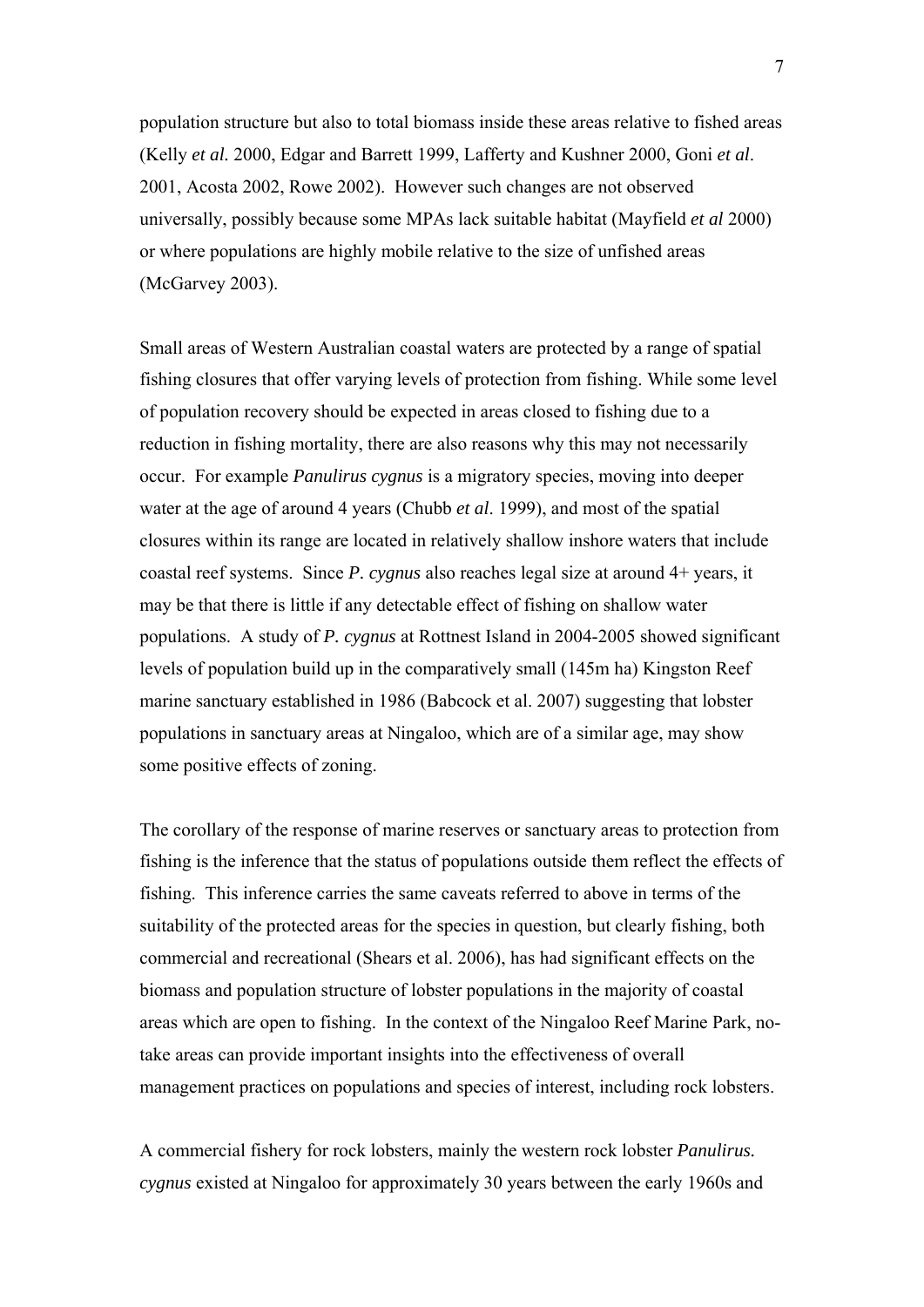population structure but also to total biomass inside these areas relative to fished areas (Kelly *et al.* 2000, Edgar and Barrett 1999, Lafferty and Kushner 2000, Goni *et al*. 2001, Acosta 2002, Rowe 2002). However such changes are not observed universally, possibly because some MPAs lack suitable habitat (Mayfield *et al* 2000) or where populations are highly mobile relative to the size of unfished areas (McGarvey 2003).

Small areas of Western Australian coastal waters are protected by a range of spatial fishing closures that offer varying levels of protection from fishing. While some level of population recovery should be expected in areas closed to fishing due to a reduction in fishing mortality, there are also reasons why this may not necessarily occur. For example *Panulirus cygnus* is a migratory species, moving into deeper water at the age of around 4 years (Chubb *et al*. 1999), and most of the spatial closures within its range are located in relatively shallow inshore waters that include coastal reef systems. Since *P. cygnus* also reaches legal size at around 4+ years, it may be that there is little if any detectable effect of fishing on shallow water populations. A study of *P. cygnus* at Rottnest Island in 2004-2005 showed significant levels of population build up in the comparatively small (145m ha) Kingston Reef marine sanctuary established in 1986 (Babcock et al. 2007) suggesting that lobster populations in sanctuary areas at Ningaloo, which are of a similar age, may show some positive effects of zoning.

The corollary of the response of marine reserves or sanctuary areas to protection from fishing is the inference that the status of populations outside them reflect the effects of fishing. This inference carries the same caveats referred to above in terms of the suitability of the protected areas for the species in question, but clearly fishing, both commercial and recreational (Shears et al. 2006), has had significant effects on the biomass and population structure of lobster populations in the majority of coastal areas which are open to fishing. In the context of the Ningaloo Reef Marine Park, notake areas can provide important insights into the effectiveness of overall management practices on populations and species of interest, including rock lobsters.

A commercial fishery for rock lobsters, mainly the western rock lobster *Panulirus. cygnus* existed at Ningaloo for approximately 30 years between the early 1960s and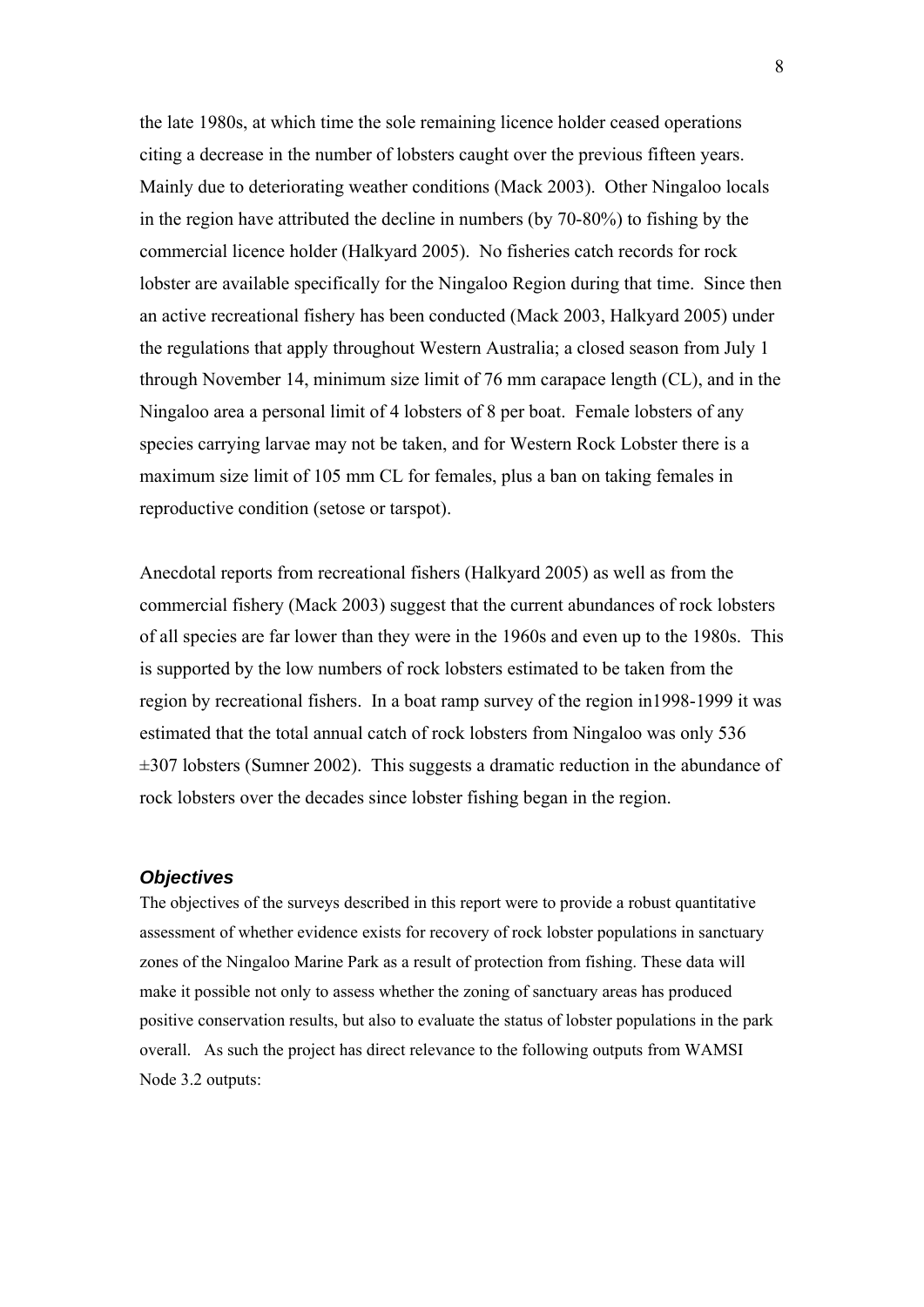<span id="page-6-0"></span>the late 1980s, at which time the sole remaining licence holder ceased operations citing a decrease in the number of lobsters caught over the previous fifteen years. Mainly due to deteriorating weather conditions (Mack 2003). Other Ningaloo locals in the region have attributed the decline in numbers (by 70-80%) to fishing by the commercial licence holder (Halkyard 2005). No fisheries catch records for rock lobster are available specifically for the Ningaloo Region during that time. Since then an active recreational fishery has been conducted (Mack 2003, Halkyard 2005) under the regulations that apply throughout Western Australia; a closed season from July 1 through November 14, minimum size limit of 76 mm carapace length (CL), and in the Ningaloo area a personal limit of 4 lobsters of 8 per boat. Female lobsters of any species carrying larvae may not be taken, and for Western Rock Lobster there is a maximum size limit of 105 mm CL for females, plus a ban on taking females in reproductive condition (setose or tarspot).

Anecdotal reports from recreational fishers (Halkyard 2005) as well as from the commercial fishery (Mack 2003) suggest that the current abundances of rock lobsters of all species are far lower than they were in the 1960s and even up to the 1980s. This is supported by the low numbers of rock lobsters estimated to be taken from the region by recreational fishers. In a boat ramp survey of the region in1998-1999 it was estimated that the total annual catch of rock lobsters from Ningaloo was only 536  $\pm 307$  lobsters (Sumner 2002). This suggests a dramatic reduction in the abundance of rock lobsters over the decades since lobster fishing began in the region.

#### *Objectives*

The objectives of the surveys described in this report were to provide a robust quantitative assessment of whether evidence exists for recovery of rock lobster populations in sanctuary zones of the Ningaloo Marine Park as a result of protection from fishing. These data will make it possible not only to assess whether the zoning of sanctuary areas has produced positive conservation results, but also to evaluate the status of lobster populations in the park overall. As such the project has direct relevance to the following outputs from WAMSI Node 3.2 outputs: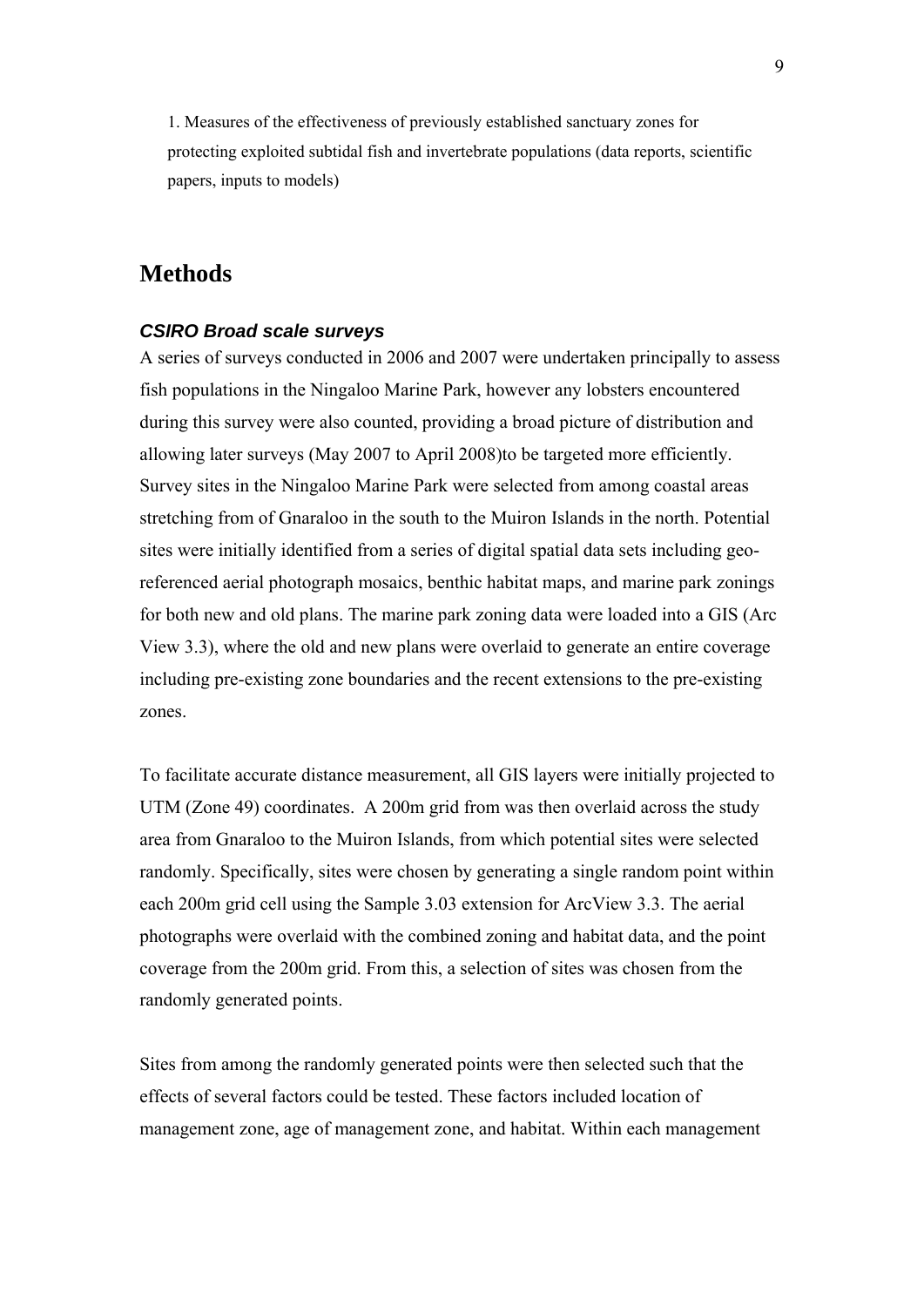<span id="page-7-0"></span>1. Measures of the effectiveness of previously established sanctuary zones for protecting exploited subtidal fish and invertebrate populations (data reports, scientific papers, inputs to models)

## **Methods**

#### *CSIRO Broad scale surveys*

A series of surveys conducted in 2006 and 2007 were undertaken principally to assess fish populations in the Ningaloo Marine Park, however any lobsters encountered during this survey were also counted, providing a broad picture of distribution and allowing later surveys (May 2007 to April 2008)to be targeted more efficiently. Survey sites in the Ningaloo Marine Park were selected from among coastal areas stretching from of Gnaraloo in the south to the Muiron Islands in the north. Potential sites were initially identified from a series of digital spatial data sets including georeferenced aerial photograph mosaics, benthic habitat maps, and marine park zonings for both new and old plans. The marine park zoning data were loaded into a GIS (Arc View 3.3), where the old and new plans were overlaid to generate an entire coverage including pre-existing zone boundaries and the recent extensions to the pre-existing zones.

To facilitate accurate distance measurement, all GIS layers were initially projected to UTM (Zone 49) coordinates. A 200m grid from was then overlaid across the study area from Gnaraloo to the Muiron Islands, from which potential sites were selected randomly. Specifically, sites were chosen by generating a single random point within each 200m grid cell using the Sample 3.03 extension for ArcView 3.3. The aerial photographs were overlaid with the combined zoning and habitat data, and the point coverage from the 200m grid. From this, a selection of sites was chosen from the randomly generated points.

Sites from among the randomly generated points were then selected such that the effects of several factors could be tested. These factors included location of management zone, age of management zone, and habitat. Within each management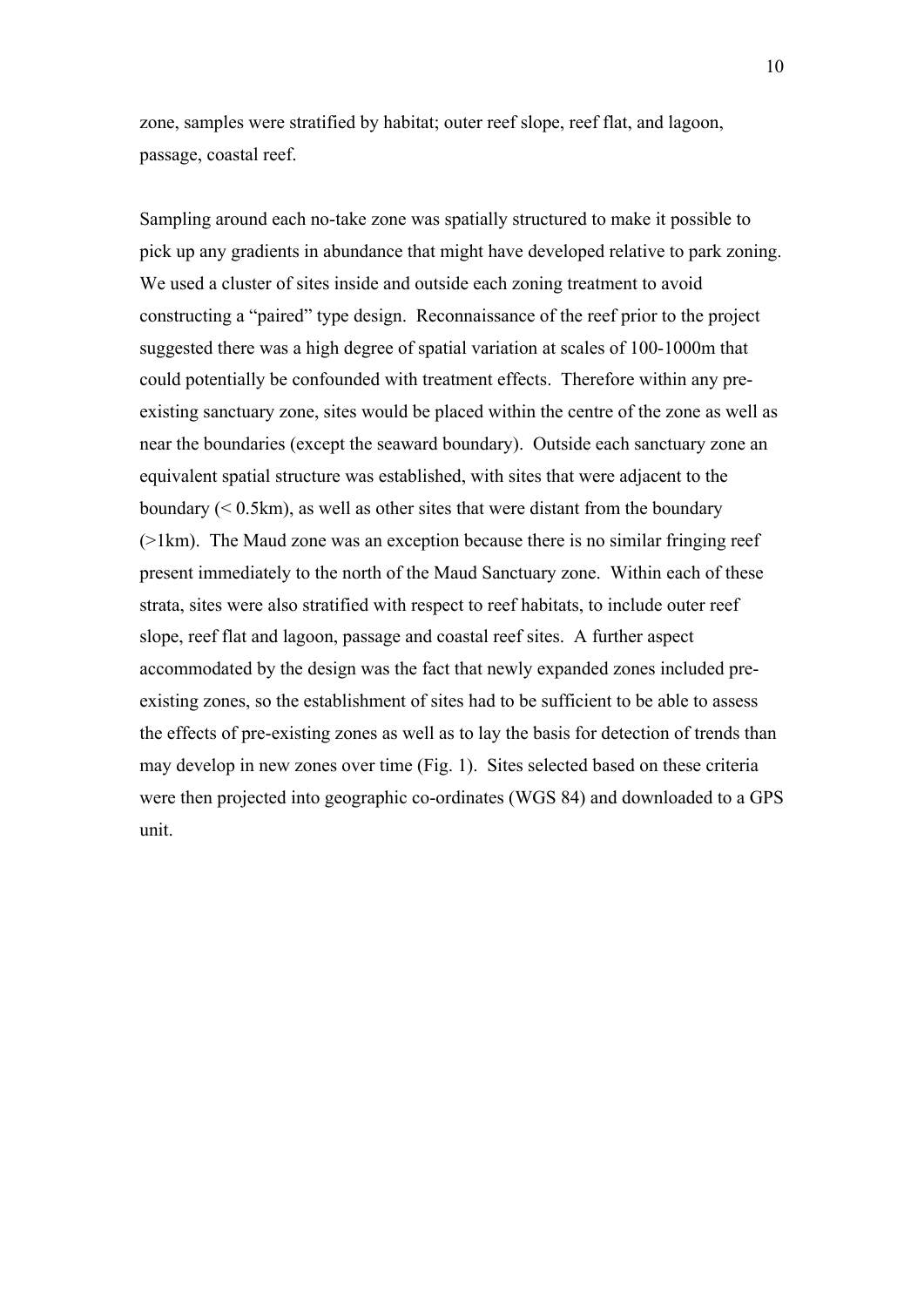zone, samples were stratified by habitat; outer reef slope, reef flat, and lagoon, passage, coastal reef.

Sampling around each no-take zone was spatially structured to make it possible to pick up any gradients in abundance that might have developed relative to park zoning. We used a cluster of sites inside and outside each zoning treatment to avoid constructing a "paired" type design. Reconnaissance of the reef prior to the project suggested there was a high degree of spatial variation at scales of 100-1000m that could potentially be confounded with treatment effects. Therefore within any preexisting sanctuary zone, sites would be placed within the centre of the zone as well as near the boundaries (except the seaward boundary). Outside each sanctuary zone an equivalent spatial structure was established, with sites that were adjacent to the boundary  $(< 0.5 \text{km})$ , as well as other sites that were distant from the boundary  $(>1km)$ . The Maud zone was an exception because there is no similar fringing reef present immediately to the north of the Maud Sanctuary zone. Within each of these strata, sites were also stratified with respect to reef habitats, to include outer reef slope, reef flat and lagoon, passage and coastal reef sites. A further aspect accommodated by the design was the fact that newly expanded zones included preexisting zones, so the establishment of sites had to be sufficient to be able to assess the effects of pre-existing zones as well as to lay the basis for detection of trends than may develop in new zones over time (Fig. 1). Sites selected based on these criteria were then projected into geographic co-ordinates (WGS 84) and downloaded to a GPS unit.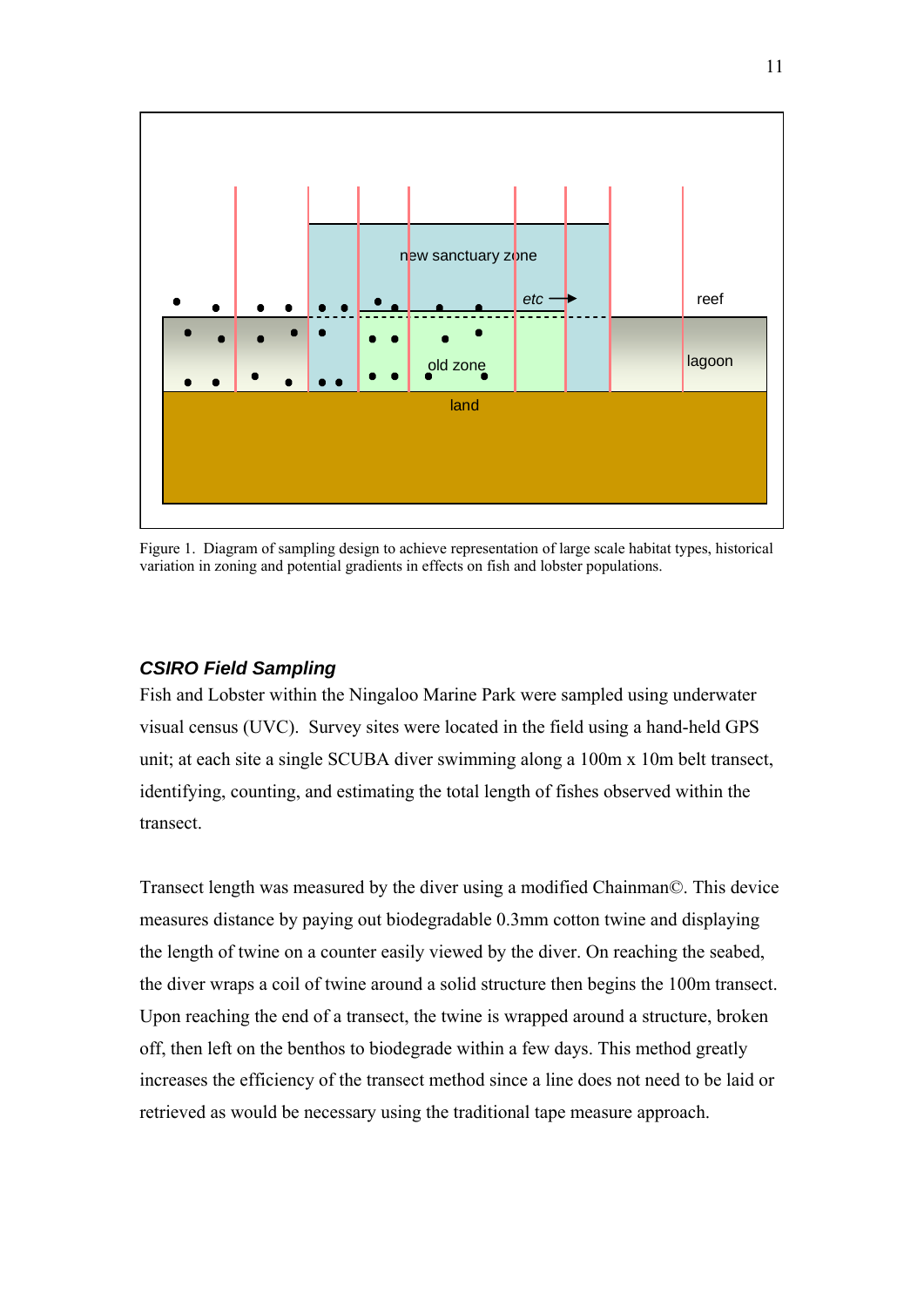<span id="page-9-0"></span>

Figure 1. Diagram of sampling design to achieve representation of large scale habitat types, historical variation in zoning and potential gradients in effects on fish and lobster populations.

#### *CSIRO Field Sampling*

Fish and Lobster within the Ningaloo Marine Park were sampled using underwater visual census (UVC). Survey sites were located in the field using a hand-held GPS unit; at each site a single SCUBA diver swimming along a 100m x 10m belt transect, identifying, counting, and estimating the total length of fishes observed within the transect.

Transect length was measured by the diver using a modified Chainman©. This device measures distance by paying out biodegradable 0.3mm cotton twine and displaying the length of twine on a counter easily viewed by the diver. On reaching the seabed, the diver wraps a coil of twine around a solid structure then begins the 100m transect. Upon reaching the end of a transect, the twine is wrapped around a structure, broken off, then left on the benthos to biodegrade within a few days. This method greatly increases the efficiency of the transect method since a line does not need to be laid or retrieved as would be necessary using the traditional tape measure approach.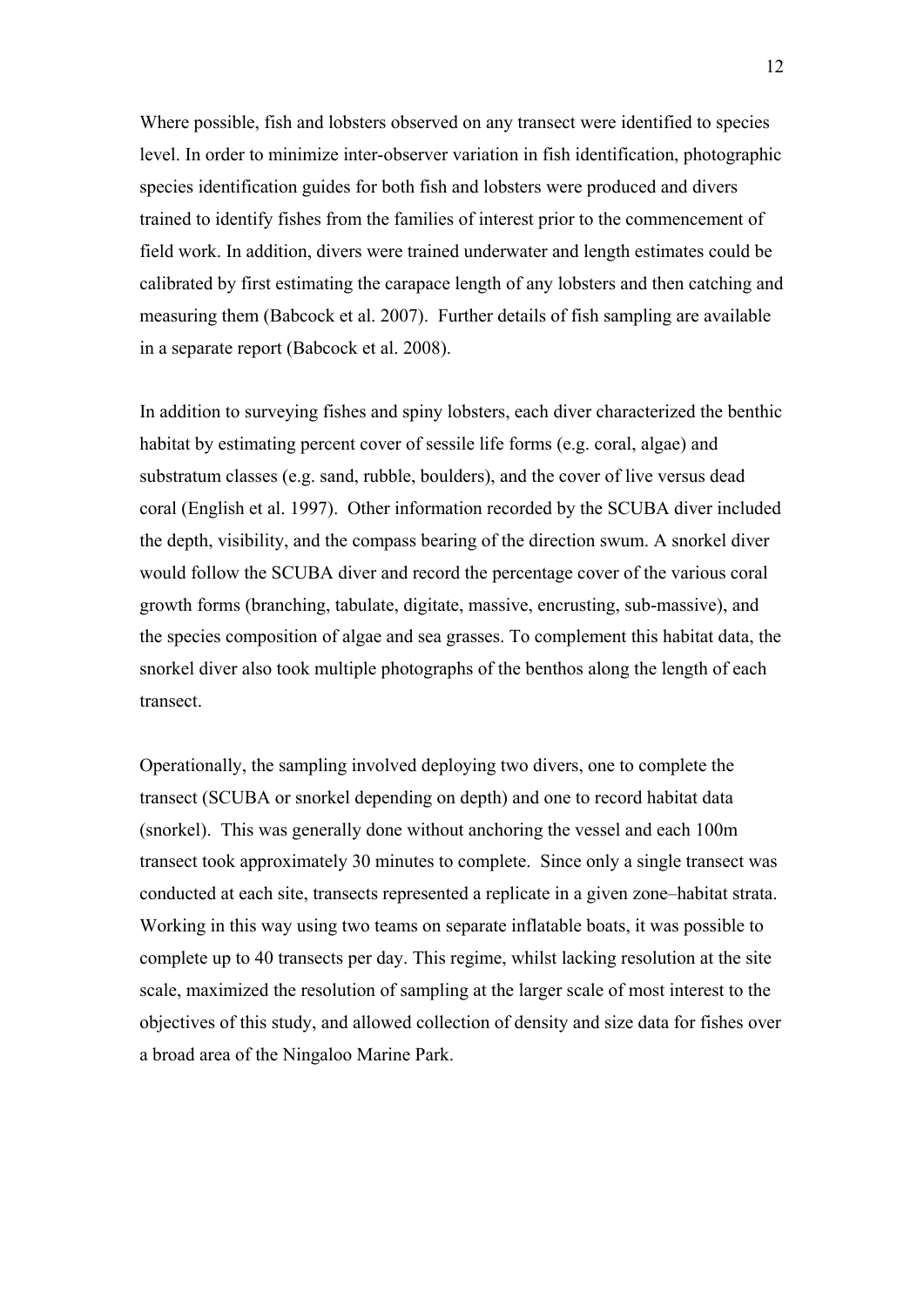Where possible, fish and lobsters observed on any transect were identified to species level. In order to minimize inter-observer variation in fish identification, photographic species identification guides for both fish and lobsters were produced and divers trained to identify fishes from the families of interest prior to the commencement of field work. In addition, divers were trained underwater and length estimates could be calibrated by first estimating the carapace length of any lobsters and then catching and measuring them (Babcock et al. 2007). Further details of fish sampling are available in a separate report (Babcock et al. 2008).

In addition to surveying fishes and spiny lobsters, each diver characterized the benthic habitat by estimating percent cover of sessile life forms (e.g. coral, algae) and substratum classes (e.g. sand, rubble, boulders), and the cover of live versus dead coral (English et al. 1997). Other information recorded by the SCUBA diver included the depth, visibility, and the compass bearing of the direction swum. A snorkel diver would follow the SCUBA diver and record the percentage cover of the various coral growth forms (branching, tabulate, digitate, massive, encrusting, sub-massive), and the species composition of algae and sea grasses. To complement this habitat data, the snorkel diver also took multiple photographs of the benthos along the length of each transect.

Operationally, the sampling involved deploying two divers, one to complete the transect (SCUBA or snorkel depending on depth) and one to record habitat data (snorkel). This was generally done without anchoring the vessel and each 100m transect took approximately 30 minutes to complete. Since only a single transect was conducted at each site, transects represented a replicate in a given zone–habitat strata. Working in this way using two teams on separate inflatable boats, it was possible to complete up to 40 transects per day. This regime, whilst lacking resolution at the site scale, maximized the resolution of sampling at the larger scale of most interest to the objectives of this study, and allowed collection of density and size data for fishes over a broad area of the Ningaloo Marine Park.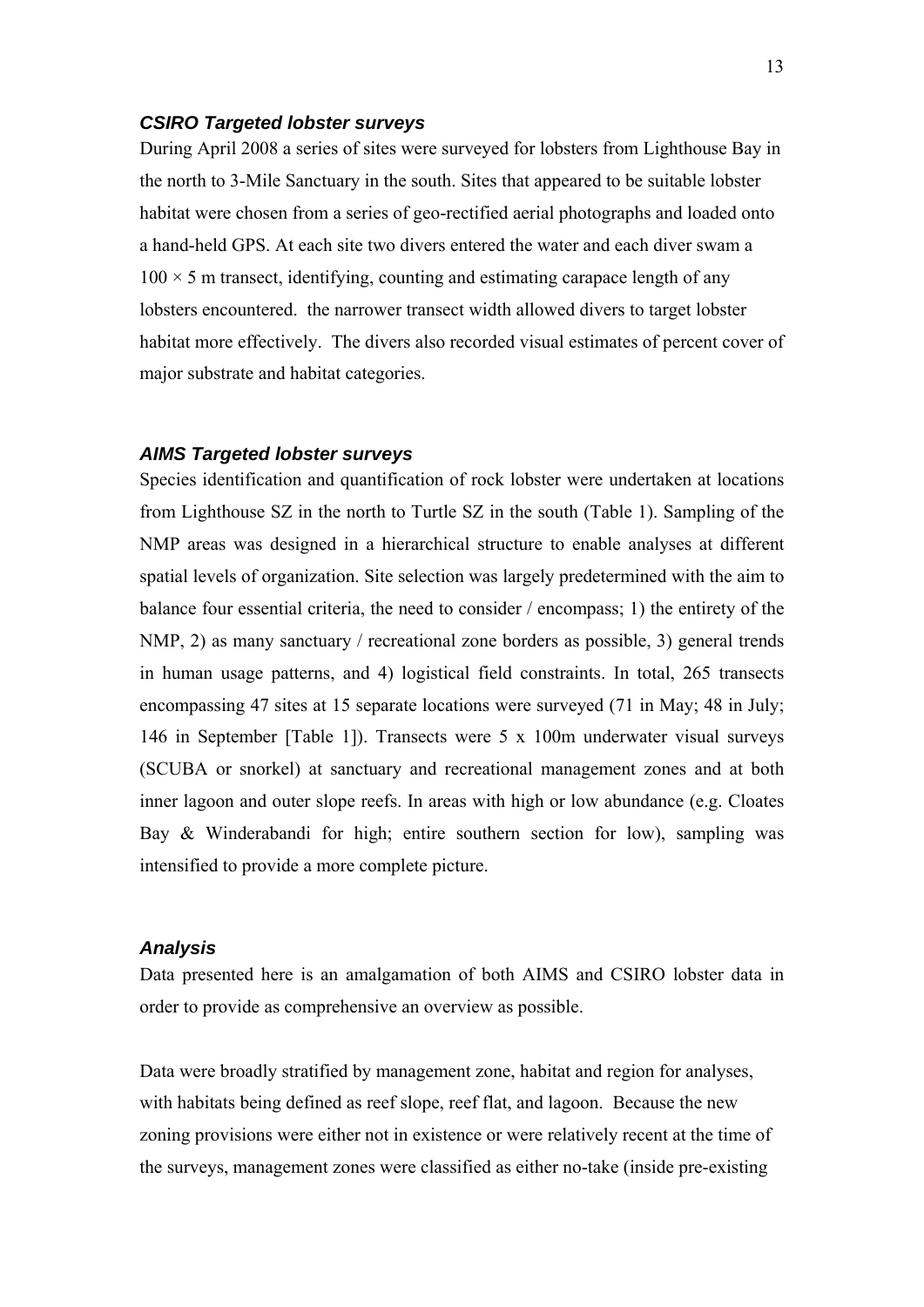#### <span id="page-11-0"></span>*CSIRO Targeted lobster surveys*

During April 2008 a series of sites were surveyed for lobsters from Lighthouse Bay in the north to 3-Mile Sanctuary in the south. Sites that appeared to be suitable lobster habitat were chosen from a series of geo-rectified aerial photographs and loaded onto a hand-held GPS. At each site two divers entered the water and each diver swam a  $100 \times 5$  m transect, identifying, counting and estimating carapace length of any lobsters encountered. the narrower transect width allowed divers to target lobster habitat more effectively. The divers also recorded visual estimates of percent cover of major substrate and habitat categories.

#### *AIMS Targeted lobster surveys*

Species identification and quantification of rock lobster were undertaken at locations from Lighthouse SZ in the north to Turtle SZ in the south (Table 1). Sampling of the NMP areas was designed in a hierarchical structure to enable analyses at different spatial levels of organization. Site selection was largely predetermined with the aim to balance four essential criteria, the need to consider / encompass; 1) the entirety of the NMP, 2) as many sanctuary / recreational zone borders as possible, 3) general trends in human usage patterns, and 4) logistical field constraints. In total, 265 transects encompassing 47 sites at 15 separate locations were surveyed (71 in May; 48 in July; 146 in September [Table 1]). Transects were 5 x 100m underwater visual surveys (SCUBA or snorkel) at sanctuary and recreational management zones and at both inner lagoon and outer slope reefs. In areas with high or low abundance (e.g. Cloates Bay & Winderabandi for high; entire southern section for low), sampling was intensified to provide a more complete picture.

#### *Analysis*

Data presented here is an amalgamation of both AIMS and CSIRO lobster data in order to provide as comprehensive an overview as possible.

Data were broadly stratified by management zone, habitat and region for analyses, with habitats being defined as reef slope, reef flat, and lagoon. Because the new zoning provisions were either not in existence or were relatively recent at the time of the surveys, management zones were classified as either no-take (inside pre-existing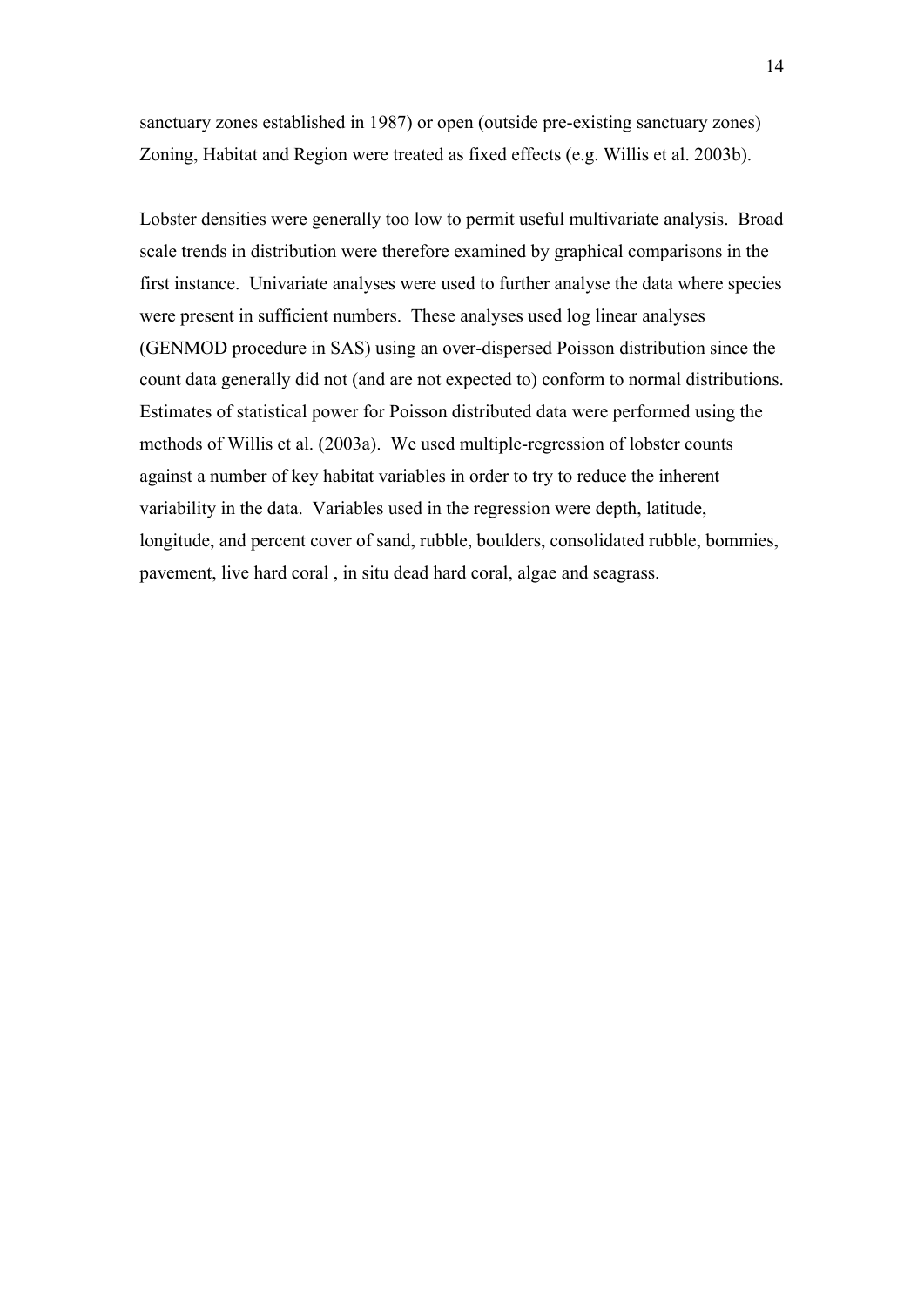sanctuary zones established in 1987) or open (outside pre-existing sanctuary zones) Zoning, Habitat and Region were treated as fixed effects (e.g. Willis et al. 2003b).

Lobster densities were generally too low to permit useful multivariate analysis. Broad scale trends in distribution were therefore examined by graphical comparisons in the first instance. Univariate analyses were used to further analyse the data where species were present in sufficient numbers. These analyses used log linear analyses (GENMOD procedure in SAS) using an over-dispersed Poisson distribution since the count data generally did not (and are not expected to) conform to normal distributions. Estimates of statistical power for Poisson distributed data were performed using the methods of Willis et al. (2003a). We used multiple-regression of lobster counts against a number of key habitat variables in order to try to reduce the inherent variability in the data. Variables used in the regression were depth, latitude, longitude, and percent cover of sand, rubble, boulders, consolidated rubble, bommies, pavement, live hard coral , in situ dead hard coral, algae and seagrass.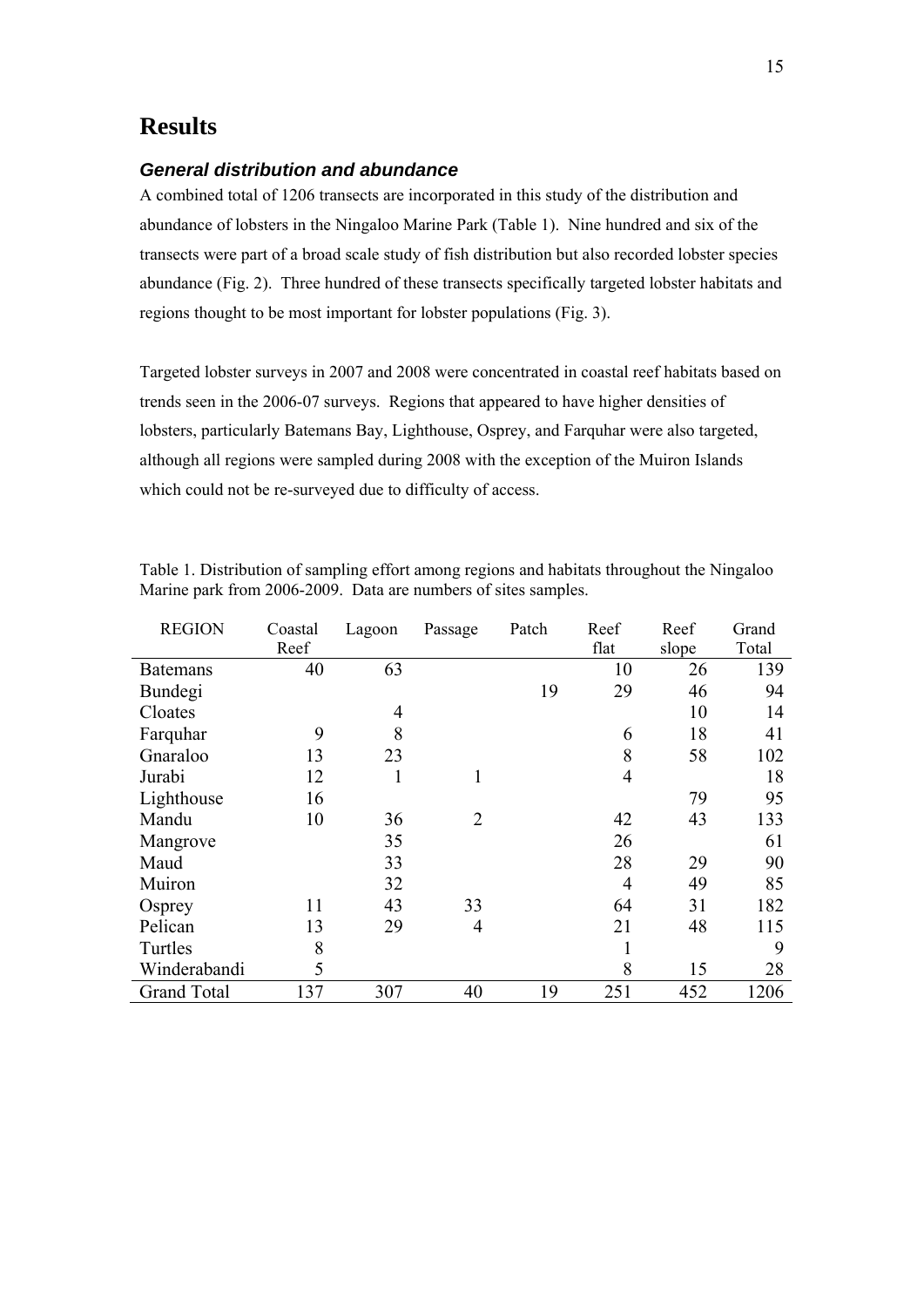## <span id="page-13-0"></span>**Results**

#### *General distribution and abundance*

A combined total of 1206 transects are incorporated in this study of the distribution and abundance of lobsters in the Ningaloo Marine Park (Table 1). Nine hundred and six of the transects were part of a broad scale study of fish distribution but also recorded lobster species abundance (Fig. 2). Three hundred of these transects specifically targeted lobster habitats and regions thought to be most important for lobster populations (Fig. 3).

Targeted lobster surveys in 2007 and 2008 were concentrated in coastal reef habitats based on trends seen in the 2006-07 surveys. Regions that appeared to have higher densities of lobsters, particularly Batemans Bay, Lighthouse, Osprey, and Farquhar were also targeted, although all regions were sampled during 2008 with the exception of the Muiron Islands which could not be re-surveyed due to difficulty of access.

| <b>REGION</b>      | Coastal | Lagoon         | Passage        | Patch | Reef           | Reef  | Grand |
|--------------------|---------|----------------|----------------|-------|----------------|-------|-------|
|                    | Reef    |                |                |       | flat           | slope | Total |
| <b>Batemans</b>    | 40      | 63             |                |       | 10             | 26    | 139   |
| Bundegi            |         |                |                | 19    | 29             | 46    | 94    |
| Cloates            |         | $\overline{4}$ |                |       |                | 10    | 14    |
| Farquhar           | 9       | 8              |                |       | 6              | 18    | 41    |
| Gnaraloo           | 13      | 23             |                |       | 8              | 58    | 102   |
| Jurabi             | 12      | 1              | 1              |       | $\overline{4}$ |       | 18    |
| Lighthouse         | 16      |                |                |       |                | 79    | 95    |
| Mandu              | 10      | 36             | $\overline{2}$ |       | 42             | 43    | 133   |
| Mangrove           |         | 35             |                |       | 26             |       | 61    |
| Maud               |         | 33             |                |       | 28             | 29    | 90    |
| Muiron             |         | 32             |                |       | $\overline{4}$ | 49    | 85    |
| Osprey             | 11      | 43             | 33             |       | 64             | 31    | 182   |
| Pelican            | 13      | 29             | $\overline{4}$ |       | 21             | 48    | 115   |
| Turtles            | 8       |                |                |       | 1              |       | 9     |
| Winderabandi       | 5       |                |                |       | 8              | 15    | 28    |
| <b>Grand Total</b> | 137     | 307            | 40             | 19    | 251            | 452   | 1206  |

Table 1. Distribution of sampling effort among regions and habitats throughout the Ningaloo Marine park from 2006-2009. Data are numbers of sites samples.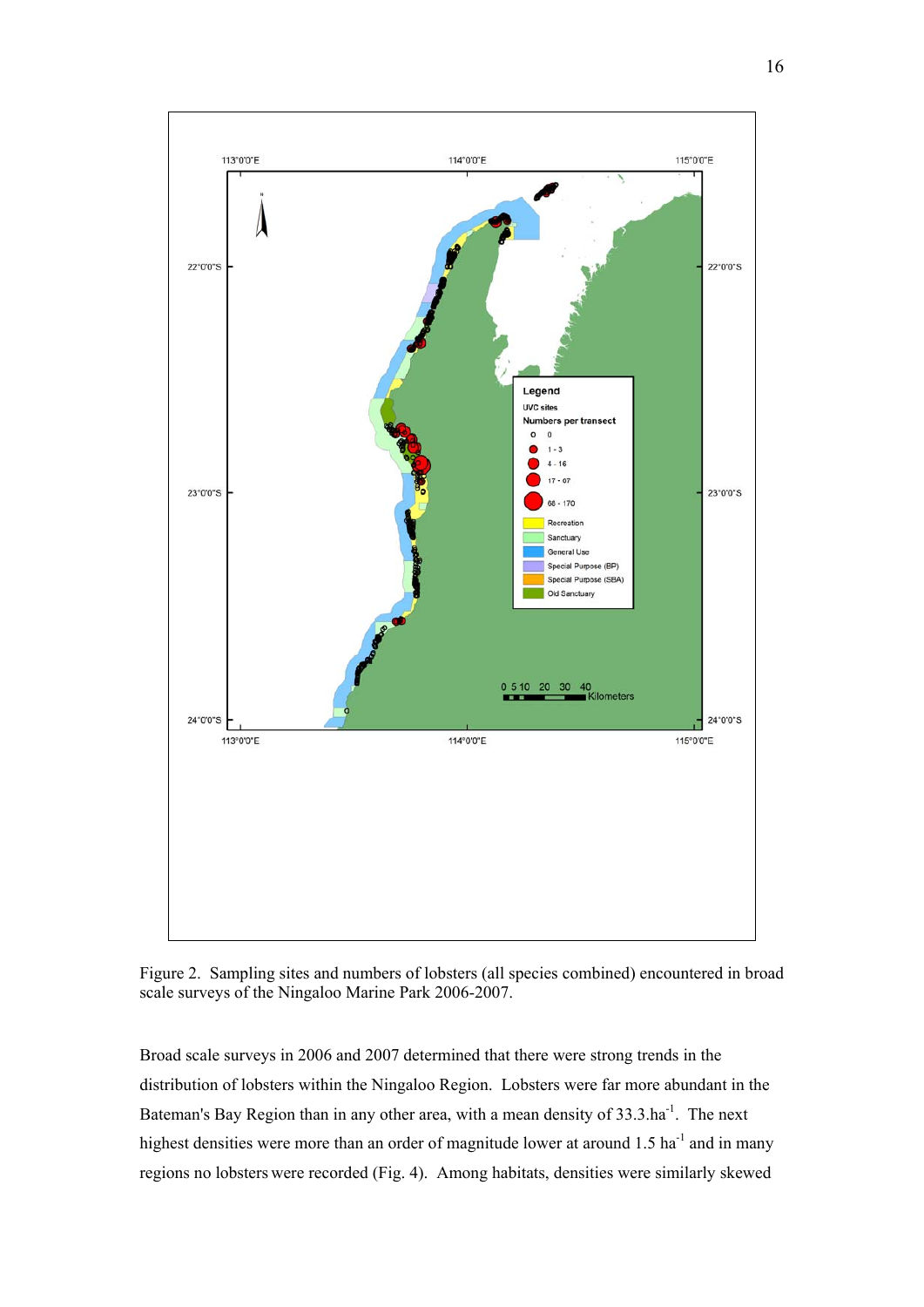

Figure 2. Sampling sites and numbers of lobsters (all species combined) encountered in broad scale surveys of the Ningaloo Marine Park 2006-2007.

Broad scale surveys in 2006 and 2007 determined that there were strong trends in the distribution of lobsters within the Ningaloo Region. Lobsters were far more abundant in the Bateman's Bay Region than in any other area, with a mean density of 33.3.ha<sup>-1</sup>. The next highest densities were more than an order of magnitude lower at around  $1.5$  ha<sup>-1</sup> and in many regions no lobsters were recorded (Fig. 4). Among habitats, densities were similarly skewed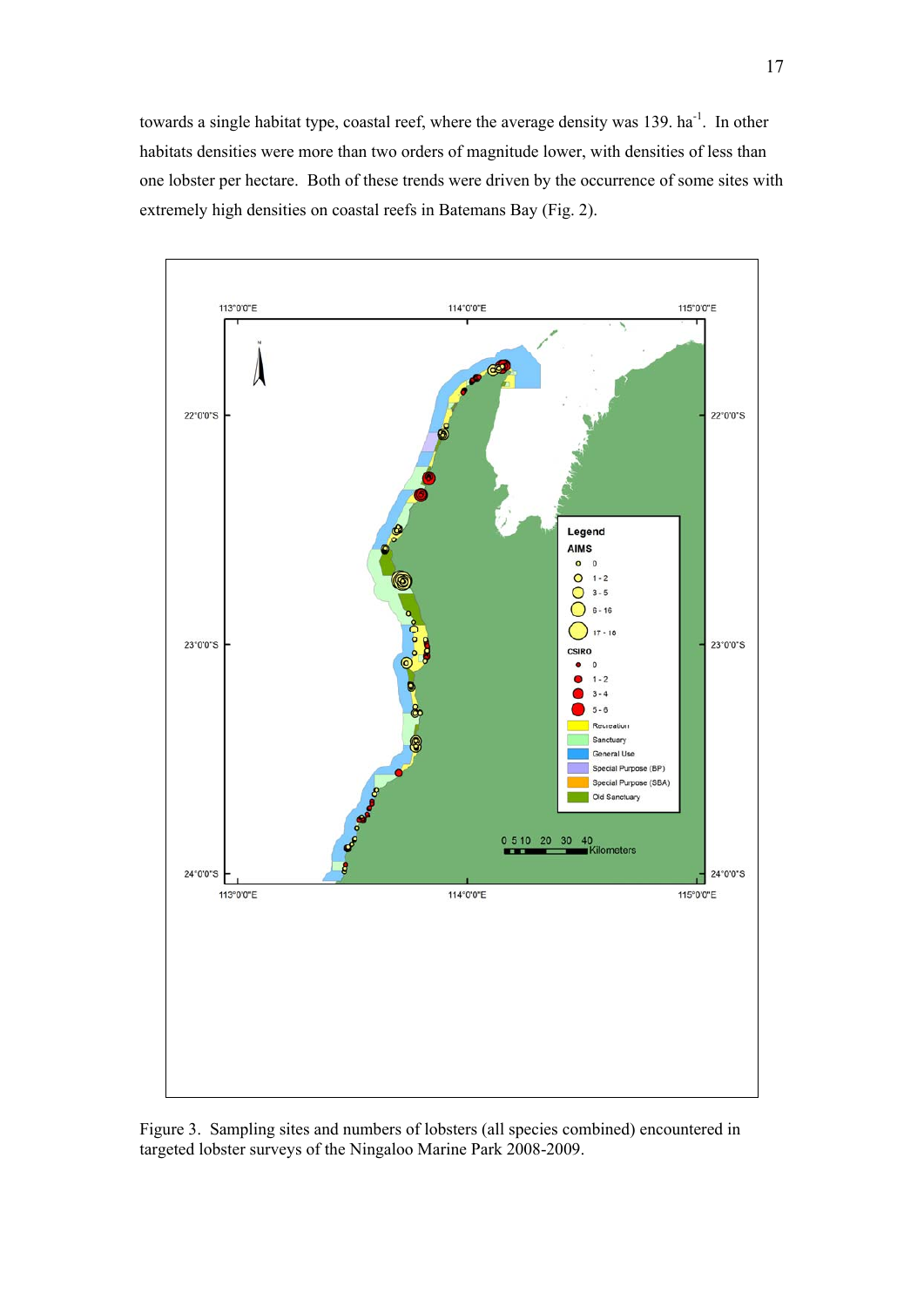towards a single habitat type, coastal reef, where the average density was 139. ha<sup>-1</sup>. In other habitats densities were more than two orders of magnitude lower, with densities of less than one lobster per hectare. Both of these trends were driven by the occurrence of some sites with extremely high densities on coastal reefs in Batemans Bay (Fig. 2).



Figure 3. Sampling sites and numbers of lobsters (all species combined) encountered in targeted lobster surveys of the Ningaloo Marine Park 2008-2009.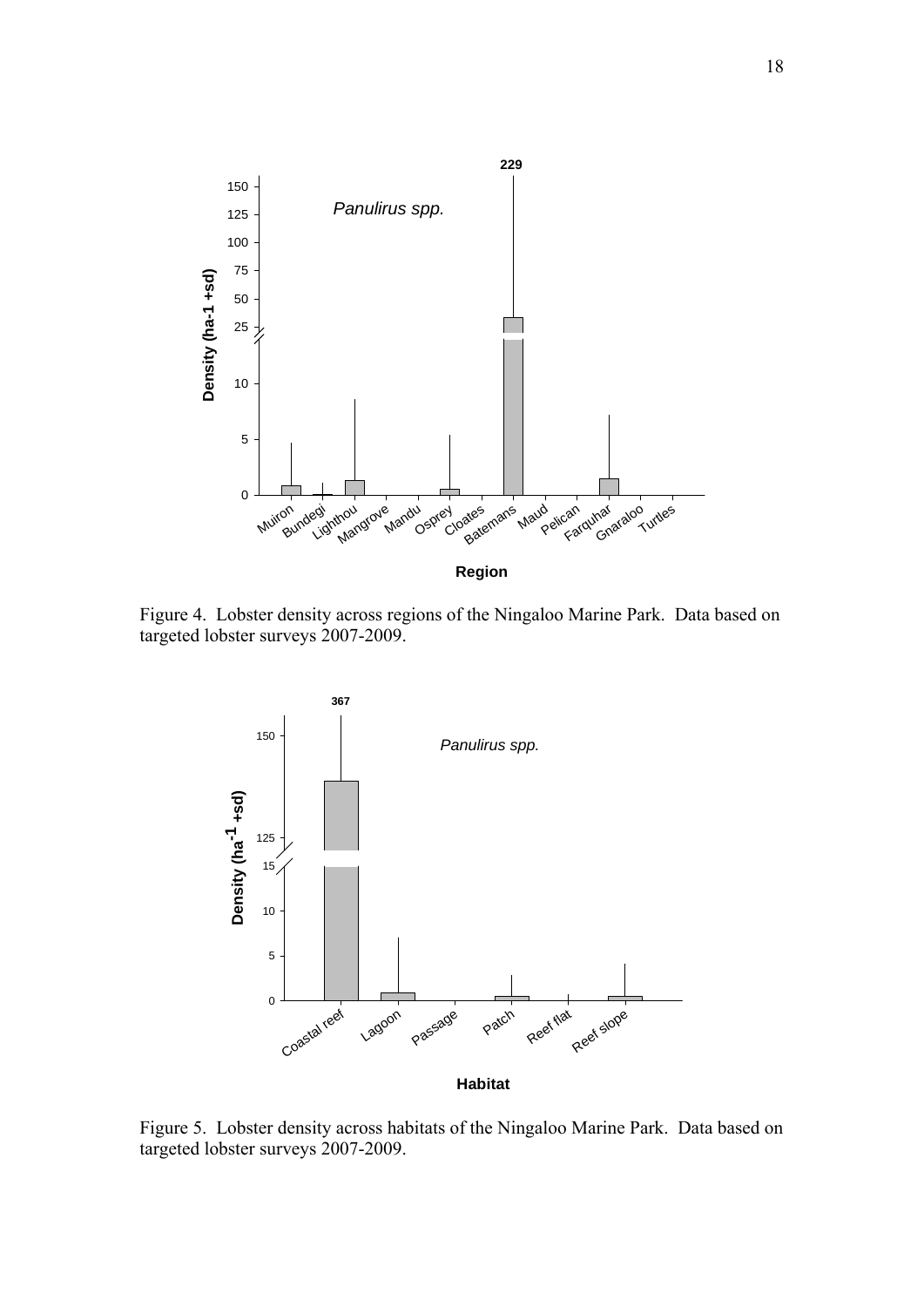

Figure 4. Lobster density across regions of the Ningaloo Marine Park. Data based on targeted lobster surveys 2007-2009.



Figure 5. Lobster density across habitats of the Ningaloo Marine Park. Data based on targeted lobster surveys 2007-2009.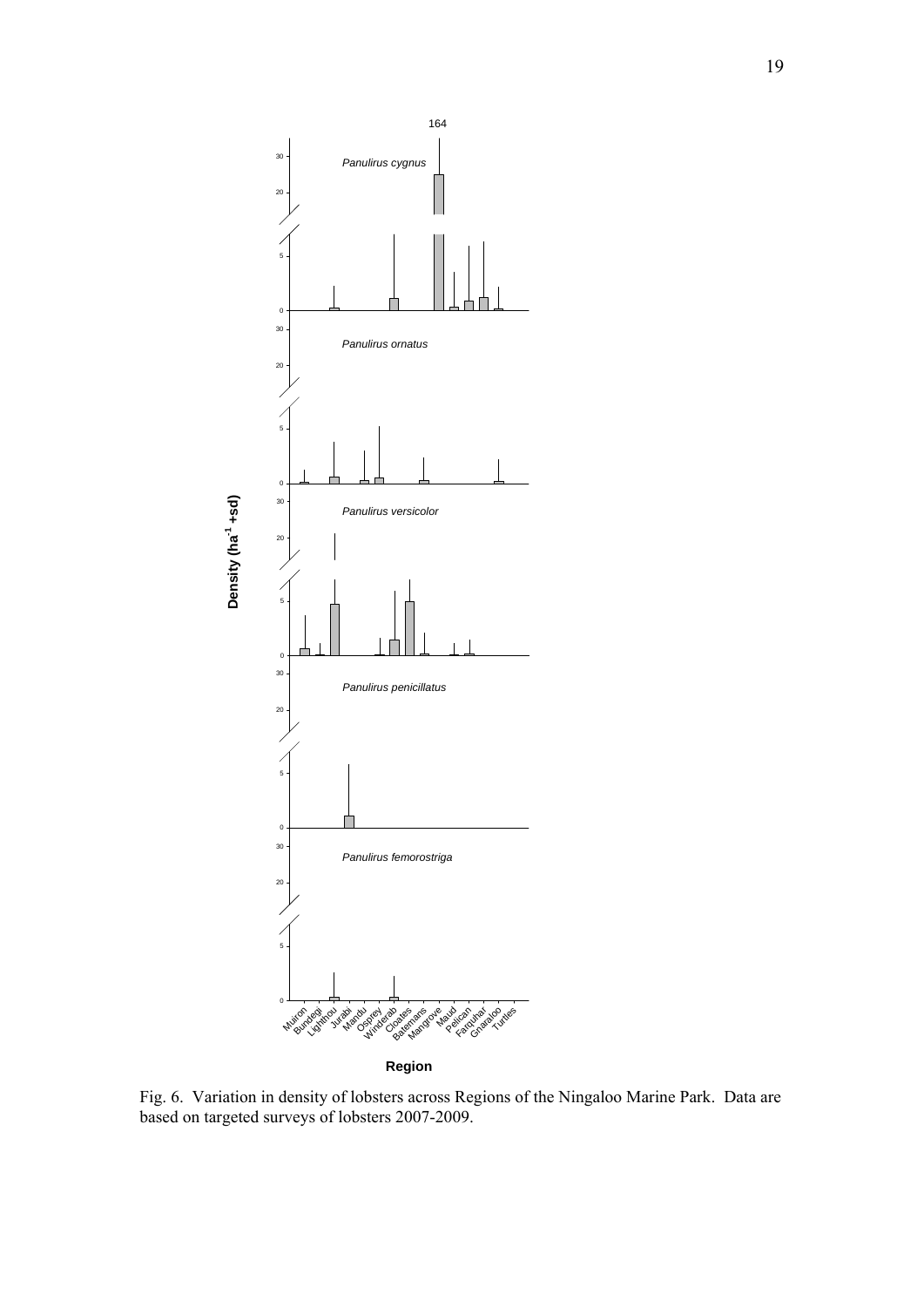

**Region**

Fig. 6. Variation in density of lobsters across Regions of the Ningaloo Marine Park. Data are based on targeted surveys of lobsters 2007-2009.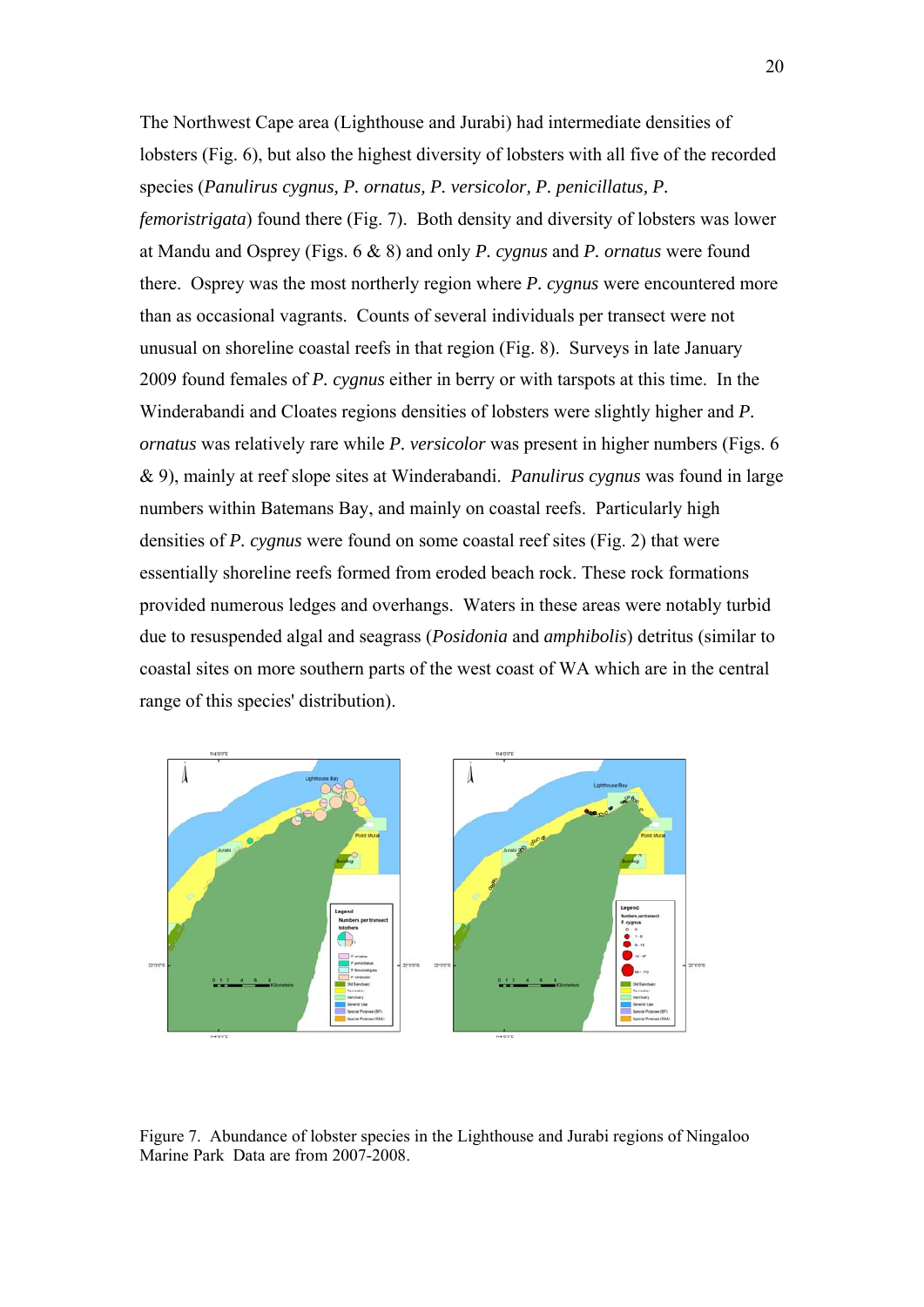The Northwest Cape area (Lighthouse and Jurabi) had intermediate densities of lobsters (Fig. 6), but also the highest diversity of lobsters with all five of the recorded species (*Panulirus cygnus, P. ornatus, P. versicolor, P. penicillatus, P. femoristrigata*) found there (Fig. 7). Both density and diversity of lobsters was lower at Mandu and Osprey (Figs. 6 & 8) and only *P. cygnus* and *P. ornatus* were found there. Osprey was the most northerly region where *P. cygnus* were encountered more than as occasional vagrants. Counts of several individuals per transect were not unusual on shoreline coastal reefs in that region (Fig. 8). Surveys in late January 2009 found females of *P. cygnus* either in berry or with tarspots at this time. In the Winderabandi and Cloates regions densities of lobsters were slightly higher and *P. ornatus* was relatively rare while *P. versicolor* was present in higher numbers (Figs. 6 & 9), mainly at reef slope sites at Winderabandi. *Panulirus cygnus* was found in large numbers within Batemans Bay, and mainly on coastal reefs. Particularly high densities of *P. cygnus* were found on some coastal reef sites (Fig. 2) that were essentially shoreline reefs formed from eroded beach rock. These rock formations provided numerous ledges and overhangs. Waters in these areas were notably turbid due to resuspended algal and seagrass (*Posidonia* and *amphibolis*) detritus (similar to coastal sites on more southern parts of the west coast of WA which are in the central range of this species' distribution).



Figure 7. Abundance of lobster species in the Lighthouse and Jurabi regions of Ningaloo Marine Park Data are from 2007-2008.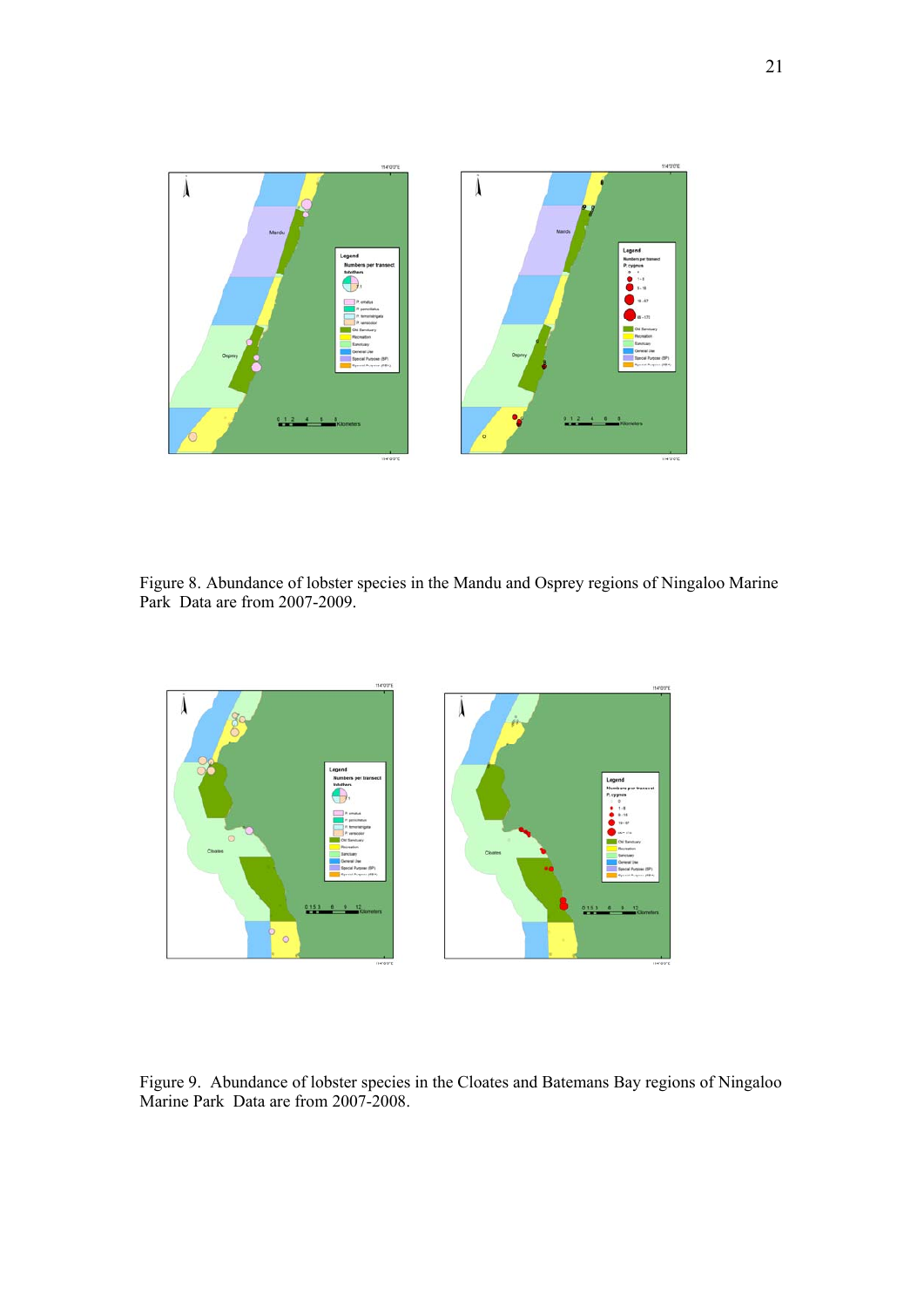

Figure 8. Abundance of lobster species in the Mandu and Osprey regions of Ningaloo Marine Park Data are from 2007-2009.



Figure 9. Abundance of lobster species in the Cloates and Batemans Bay regions of Ningaloo Marine Park Data are from 2007-2008.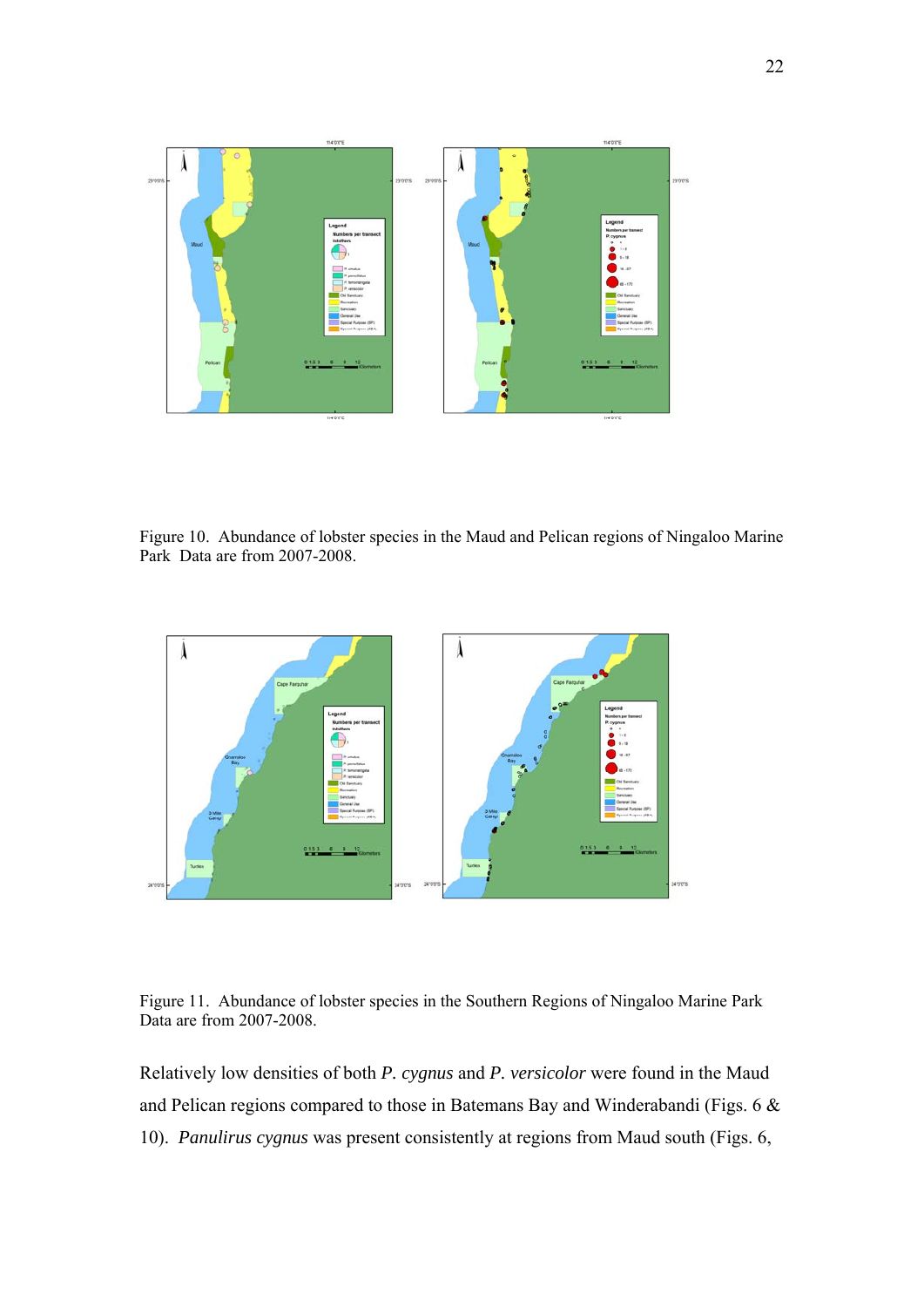

Figure 10. Abundance of lobster species in the Maud and Pelican regions of Ningaloo Marine Park Data are from 2007-2008.



Figure 11. Abundance of lobster species in the Southern Regions of Ningaloo Marine Park Data are from 2007-2008.

Relatively low densities of both *P. cygnus* and *P. versicolor* were found in the Maud and Pelican regions compared to those in Batemans Bay and Winderabandi (Figs. 6 & 10). *Panulirus cygnus* was present consistently at regions from Maud south (Figs. 6,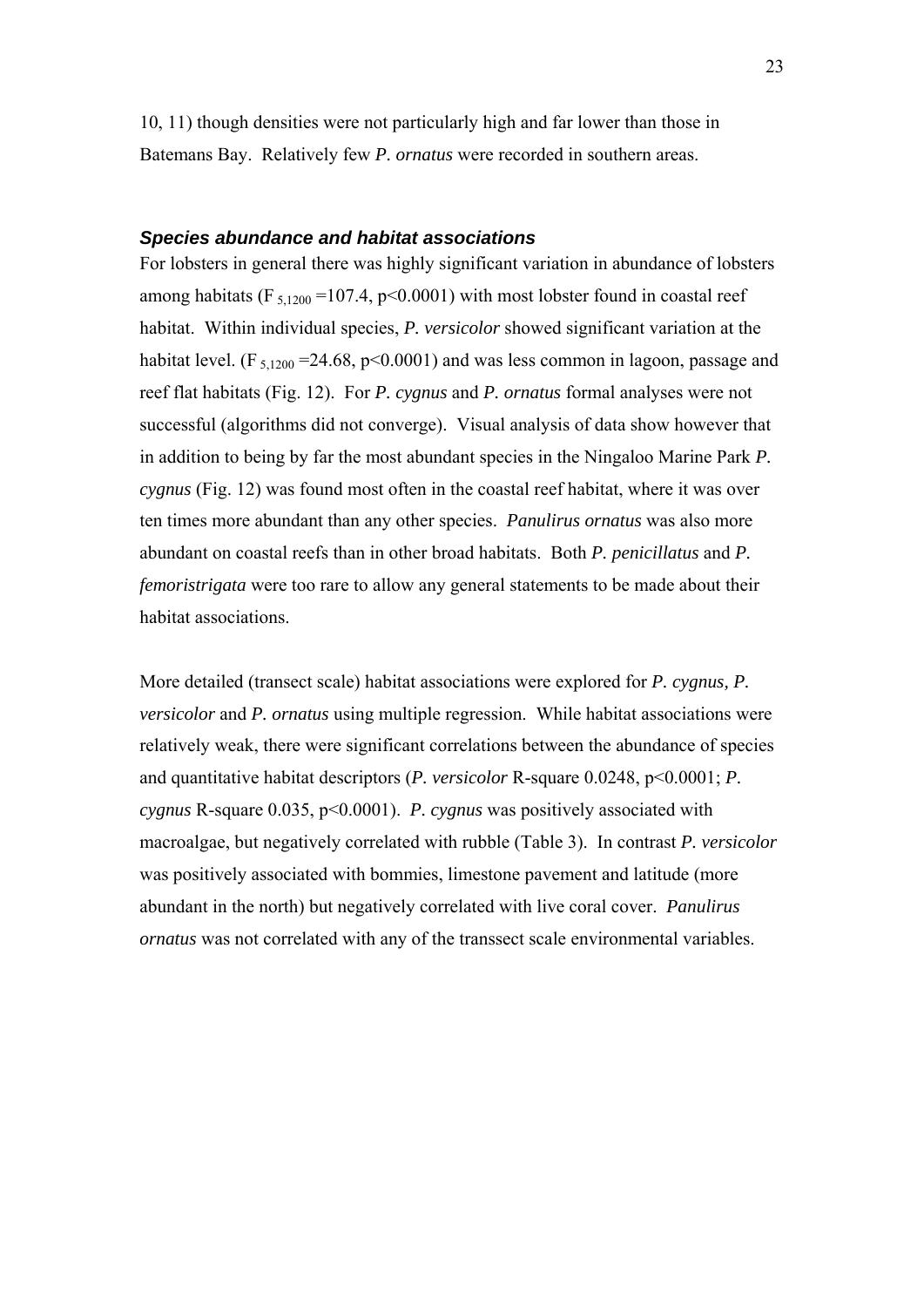<span id="page-21-0"></span>10, 11) though densities were not particularly high and far lower than those in Batemans Bay. Relatively few *P. ornatus* were recorded in southern areas.

#### *Species abundance and habitat associations*

For lobsters in general there was highly significant variation in abundance of lobsters among habitats (F<sub>5,1200</sub> = 107.4, p<0.0001) with most lobster found in coastal reef habitat. Within individual species, *P. versicolor* showed significant variation at the habitat level. (F  $_{5,1200}$  =24.68, p<0.0001) and was less common in lagoon, passage and reef flat habitats (Fig. 12). For *P. cygnus* and *P. ornatus* formal analyses were not successful (algorithms did not converge). Visual analysis of data show however that in addition to being by far the most abundant species in the Ningaloo Marine Park *P. cygnus* (Fig. 12) was found most often in the coastal reef habitat, where it was over ten times more abundant than any other species. *Panulirus ornatus* was also more abundant on coastal reefs than in other broad habitats. Both *P. penicillatus* and *P. femoristrigata* were too rare to allow any general statements to be made about their habitat associations.

More detailed (transect scale) habitat associations were explored for *P. cygnus, P. versicolor* and *P. ornatus* using multiple regression. While habitat associations were relatively weak, there were significant correlations between the abundance of species and quantitative habitat descriptors (*P. versicolor* R-square 0.0248, p<0.0001; *P. cygnus* R-square 0.035, p<0.0001). *P. cygnus* was positively associated with macroalgae, but negatively correlated with rubble (Table 3). In contrast *P. versicolor* was positively associated with bommies, limestone pavement and latitude (more abundant in the north) but negatively correlated with live coral cover. *Panulirus ornatus* was not correlated with any of the transsect scale environmental variables.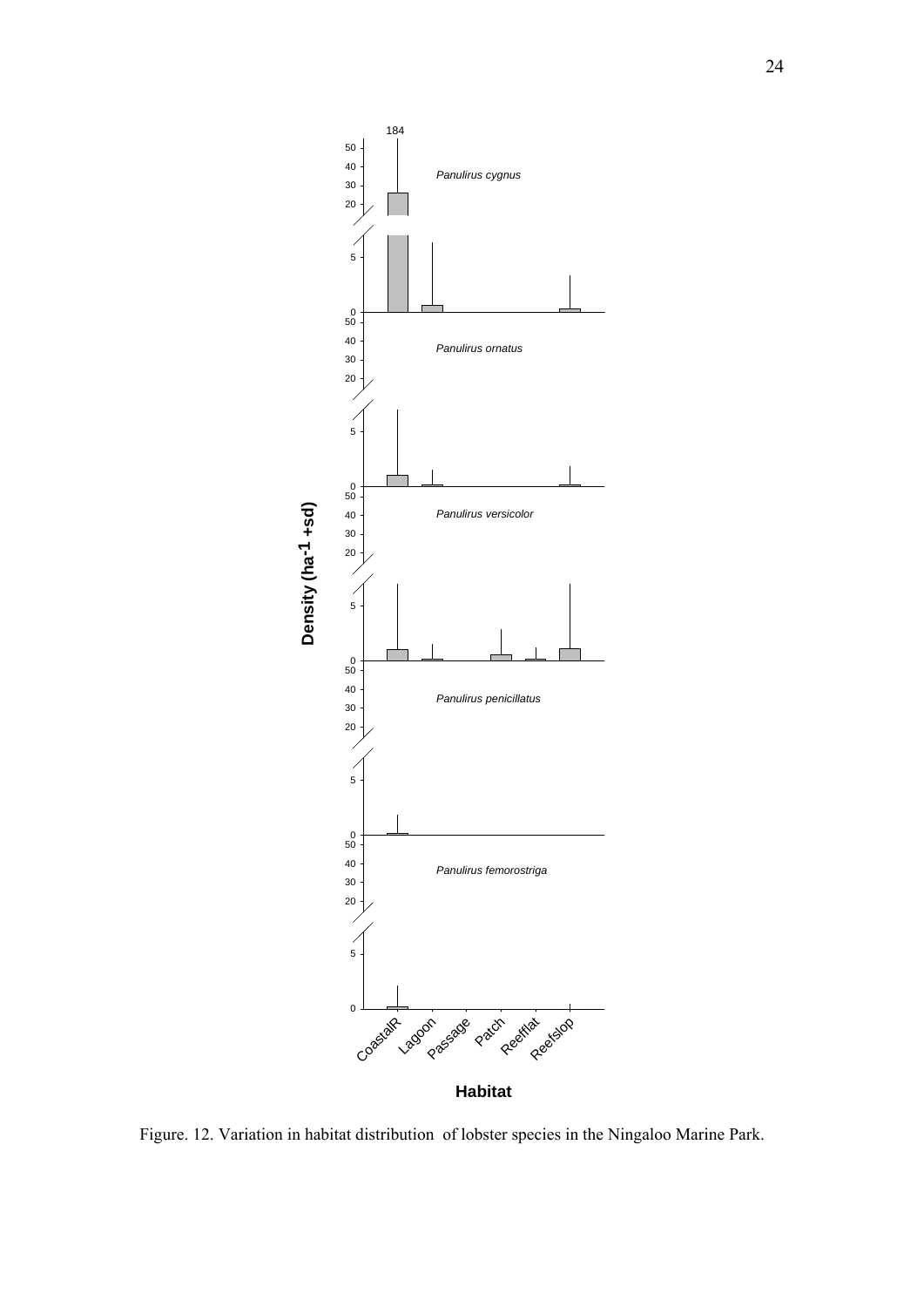

Figure. 12. Variation in habitat distribution of lobster species in the Ningaloo Marine Park.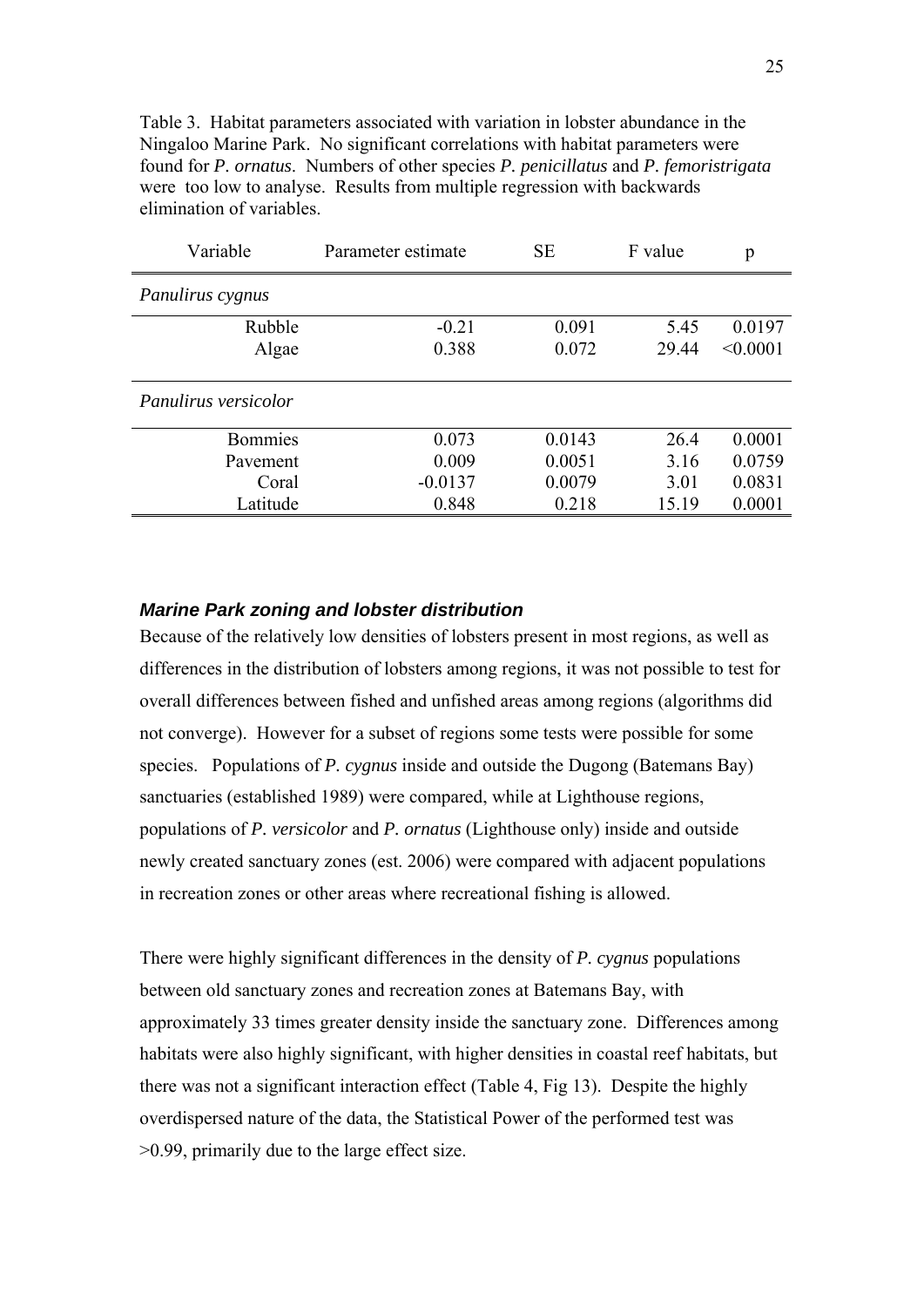<span id="page-23-0"></span>Table 3. Habitat parameters associated with variation in lobster abundance in the Ningaloo Marine Park. No significant correlations with habitat parameters were found for *P. ornatus*. Numbers of other species *P. penicillatus* and *P. femoristrigata* were too low to analyse. Results from multiple regression with backwards elimination of variables.

| Variable             | Parameter estimate | <b>SE</b> |       | p        |
|----------------------|--------------------|-----------|-------|----------|
| Panulirus cygnus     |                    |           |       |          |
| Rubble               | $-0.21$            | 0.091     | 5.45  | 0.0197   |
| Algae                | 0.388              | 0.072     | 29.44 | < 0.0001 |
|                      |                    |           |       |          |
| Panulirus versicolor |                    |           |       |          |
| <b>Bommies</b>       | 0.073              | 0.0143    | 26.4  | 0.0001   |
| Pavement             | 0.009              | 0.0051    | 3.16  | 0.0759   |
| Coral                | $-0.0137$          | 0.0079    | 3.01  | 0.0831   |
| Latitude             | 0.848              | 0.218     | 15.19 | 0.0001   |

#### *Marine Park zoning and lobster distribution*

Because of the relatively low densities of lobsters present in most regions, as well as differences in the distribution of lobsters among regions, it was not possible to test for overall differences between fished and unfished areas among regions (algorithms did not converge). However for a subset of regions some tests were possible for some species. Populations of *P. cygnus* inside and outside the Dugong (Batemans Bay) sanctuaries (established 1989) were compared, while at Lighthouse regions, populations of *P. versicolor* and *P. ornatus* (Lighthouse only) inside and outside newly created sanctuary zones (est. 2006) were compared with adjacent populations in recreation zones or other areas where recreational fishing is allowed.

There were highly significant differences in the density of *P. cygnus* populations between old sanctuary zones and recreation zones at Batemans Bay, with approximately 33 times greater density inside the sanctuary zone. Differences among habitats were also highly significant, with higher densities in coastal reef habitats, but there was not a significant interaction effect (Table 4, Fig 13). Despite the highly overdispersed nature of the data, the Statistical Power of the performed test was >0.99, primarily due to the large effect size.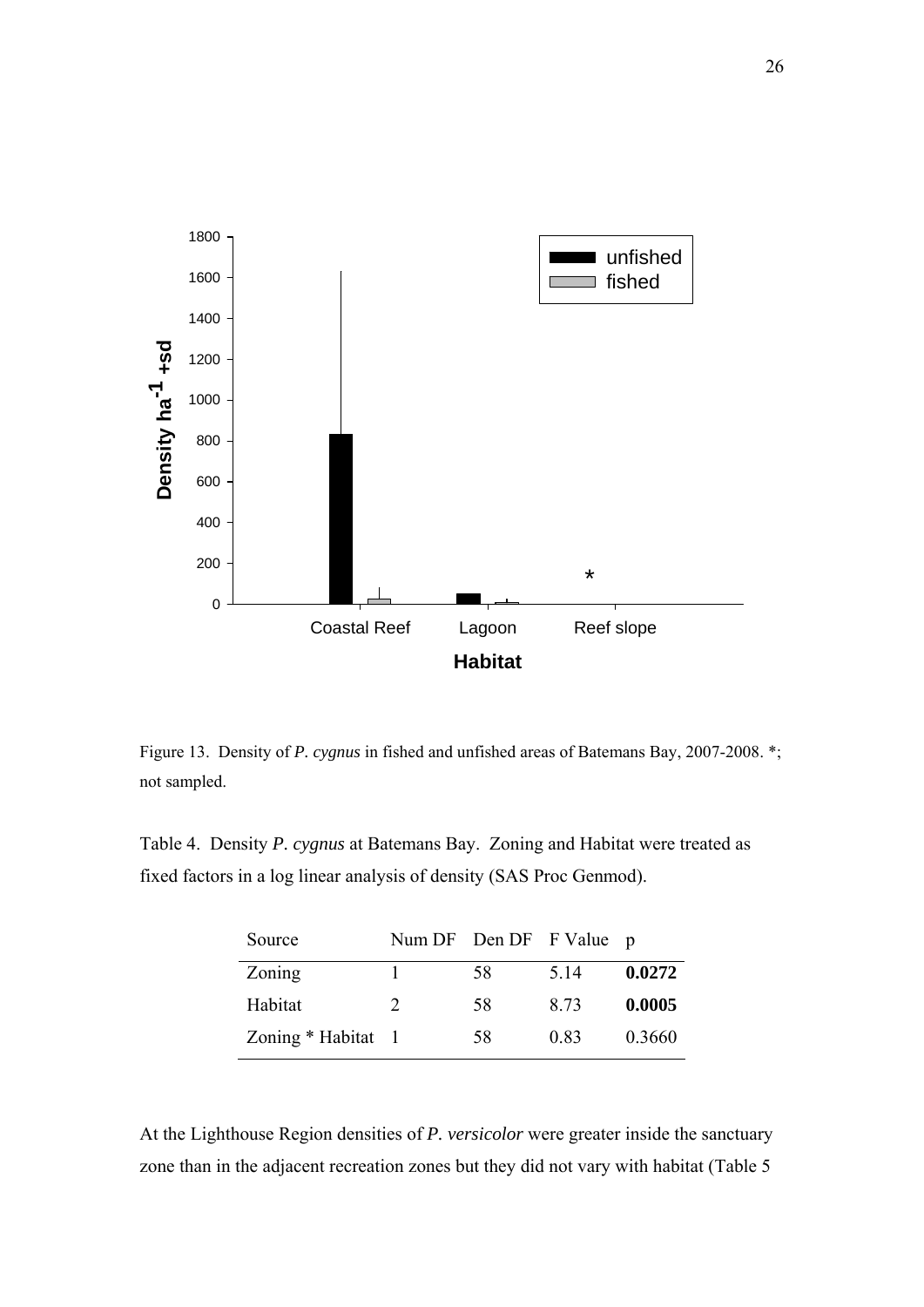

Figure 13. Density of *P. cygnus* in fished and unfished areas of Batemans Bay, 2007-2008. \*; not sampled.

Table 4. Density *P. cygnus* at Batemans Bay. Zoning and Habitat were treated as fixed factors in a log linear analysis of density (SAS Proc Genmod).

| Source             | Num DF Den DF F Value p |    |      |        |
|--------------------|-------------------------|----|------|--------|
| Zoning             |                         | 58 | 5 14 | 0.0272 |
| Habitat            | $\mathcal{D}_{\cdot}$   | 58 | 8.73 | 0.0005 |
| Zoning * Habitat 1 |                         | 58 | 0.83 | 0.3660 |

At the Lighthouse Region densities of *P. versicolor* were greater inside the sanctuary zone than in the adjacent recreation zones but they did not vary with habitat (Table 5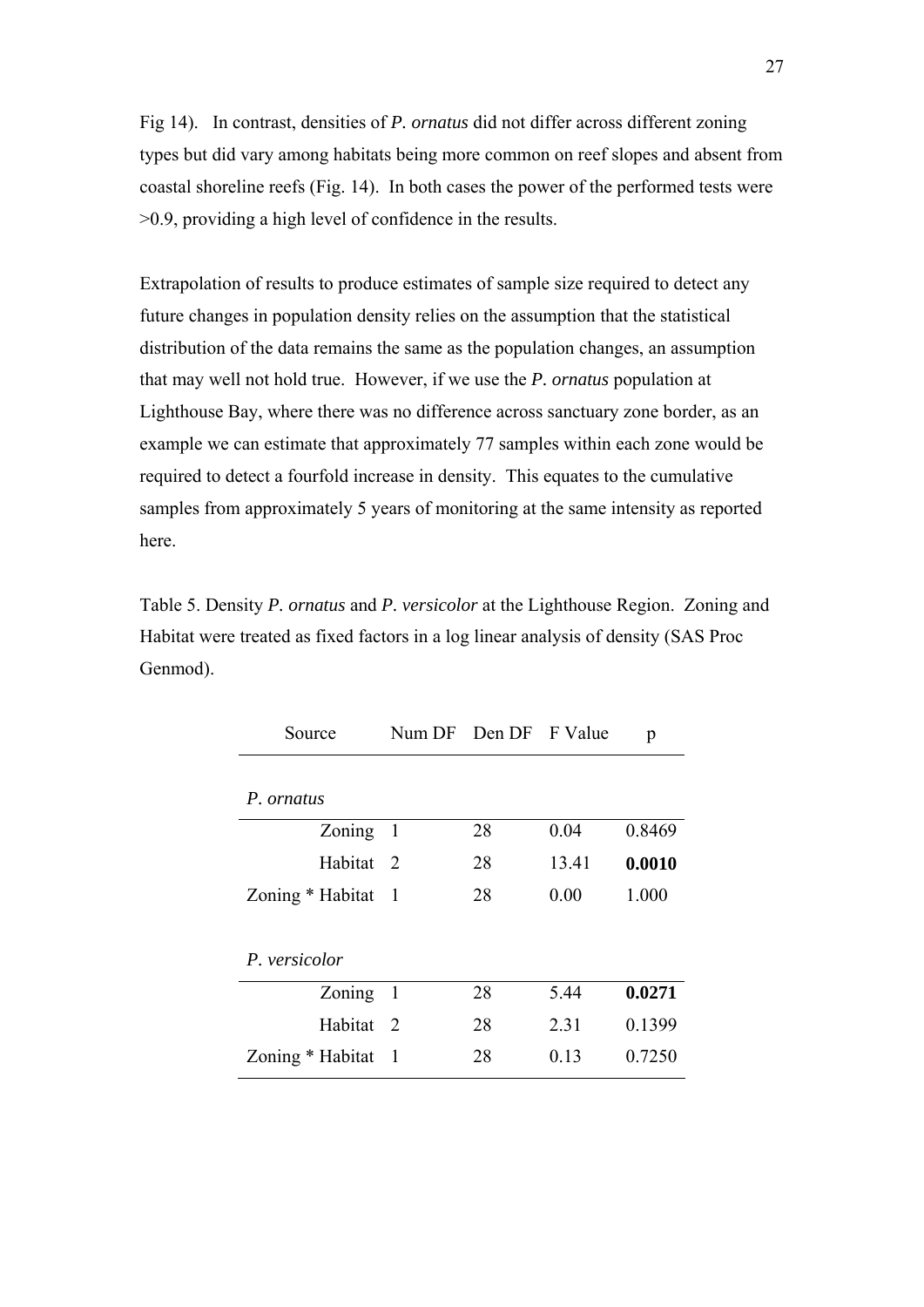Fig 14). In contrast, densities of *P. ornatus* did not differ across different zoning types but did vary among habitats being more common on reef slopes and absent from coastal shoreline reefs (Fig. 14). In both cases the power of the performed tests were >0.9, providing a high level of confidence in the results.

Extrapolation of results to produce estimates of sample size required to detect any future changes in population density relies on the assumption that the statistical distribution of the data remains the same as the population changes, an assumption that may well not hold true. However, if we use the *P. ornatus* population at Lighthouse Bay, where there was no difference across sanctuary zone border, as an example we can estimate that approximately 77 samples within each zone would be required to detect a fourfold increase in density. This equates to the cumulative samples from approximately 5 years of monitoring at the same intensity as reported here.

Table 5. Density *P. ornatus* and *P. versicolor* at the Lighthouse Region. Zoning and Habitat were treated as fixed factors in a log linear analysis of density (SAS Proc Genmod).

| Source           |                | Num DF Den DF F Value |       | p      |  |  |
|------------------|----------------|-----------------------|-------|--------|--|--|
| P. ornatus       |                |                       |       |        |  |  |
| Zoning           | $\overline{1}$ | 28                    | 0.04  | 0.8469 |  |  |
| Habitat 2        |                | 28                    | 13.41 | 0.0010 |  |  |
| Zoning * Habitat | - 1            | 28                    | 0.00  | 1.000  |  |  |
|                  |                |                       |       |        |  |  |
| P. versicolor    |                |                       |       |        |  |  |
| Zoning           | $\overline{1}$ | 28                    | 5.44  | 0.0271 |  |  |
| Habitat          | 2              | 28                    | 2.31  | 0.1399 |  |  |
| Zoning * Habitat | -1             | 28                    | 013   | 0.7250 |  |  |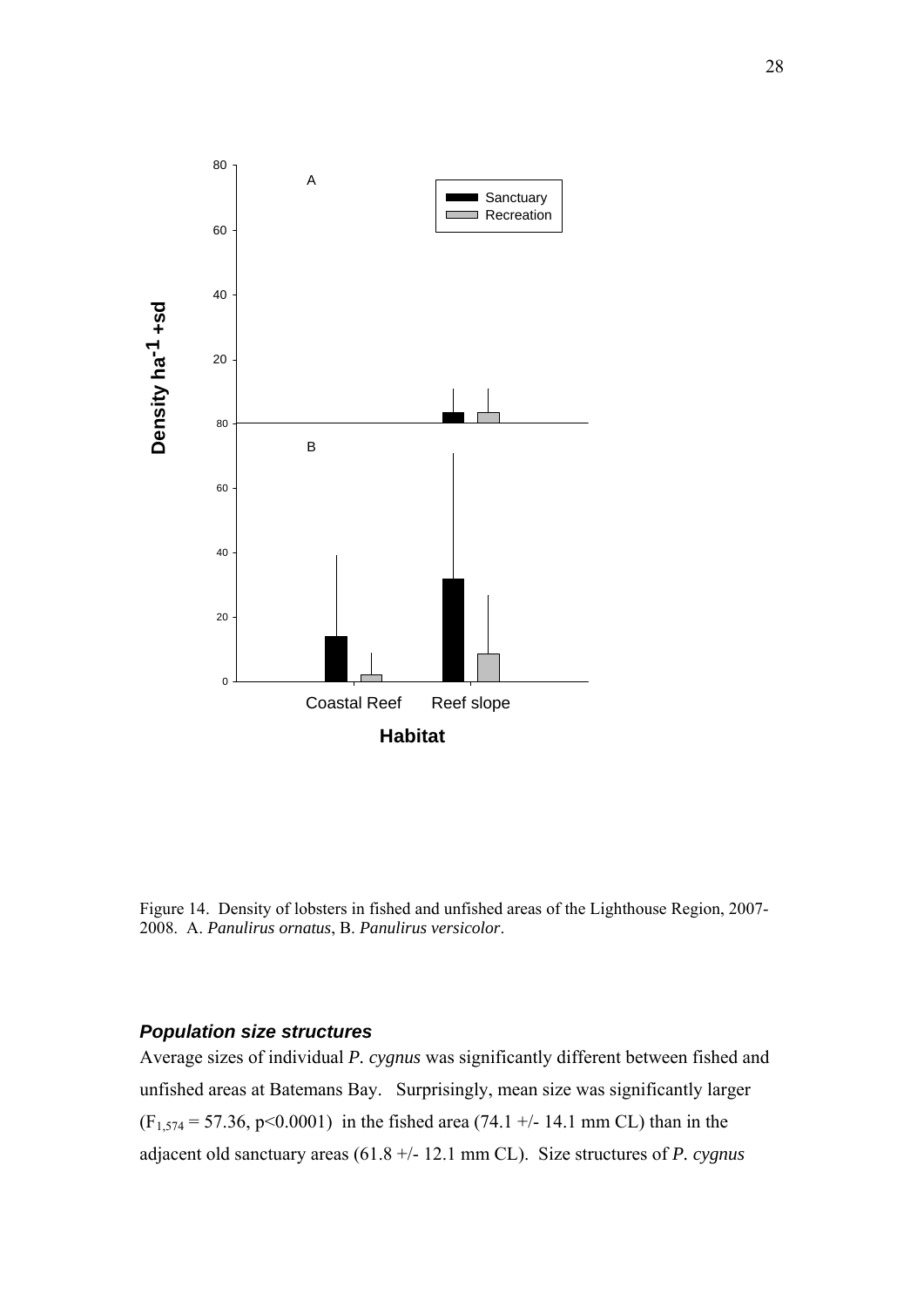<span id="page-26-0"></span>

Figure 14. Density of lobsters in fished and unfished areas of the Lighthouse Region, 2007- 2008. A. *Panulirus ornatus*, B. *Panulirus versicolor*.

#### *Population size structures*

Average sizes of individual *P. cygnus* was significantly different between fished and unfished areas at Batemans Bay. Surprisingly, mean size was significantly larger  $(F_{1,574} = 57.36, p<0.0001)$  in the fished area (74.1 +/- 14.1 mm CL) than in the adjacent old sanctuary areas (61.8 +/- 12.1 mm CL). Size structures of *P. cygnus*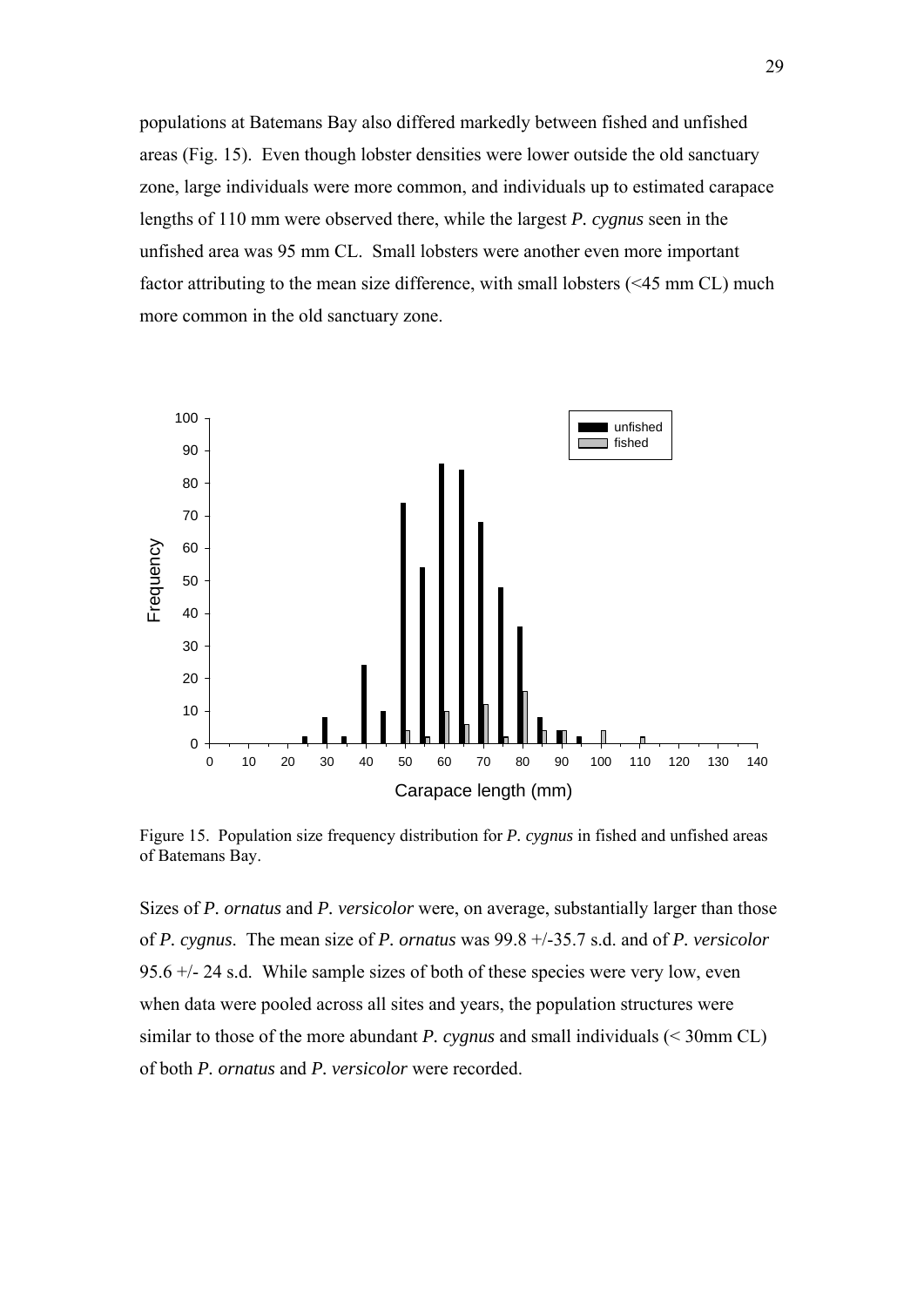populations at Batemans Bay also differed markedly between fished and unfished areas (Fig. 15). Even though lobster densities were lower outside the old sanctuary zone, large individuals were more common, and individuals up to estimated carapace lengths of 110 mm were observed there, while the largest *P. cygnus* seen in the unfished area was 95 mm CL. Small lobsters were another even more important factor attributing to the mean size difference, with small lobsters (<45 mm CL) much more common in the old sanctuary zone.



Figure 15. Population size frequency distribution for *P. cygnus* in fished and unfished areas of Batemans Bay.

Sizes of *P. ornatus* and *P. versicolor* were, on average, substantially larger than those of *P. cygnus*. The mean size of *P. ornatus* was 99.8 +/-35.7 s.d. and of *P. versicolor* 95.6 +/- 24 s.d. While sample sizes of both of these species were very low, even when data were pooled across all sites and years, the population structures were similar to those of the more abundant *P. cygnus* and small individuals (< 30mm CL) of both *P. ornatus* and *P. versicolor* were recorded.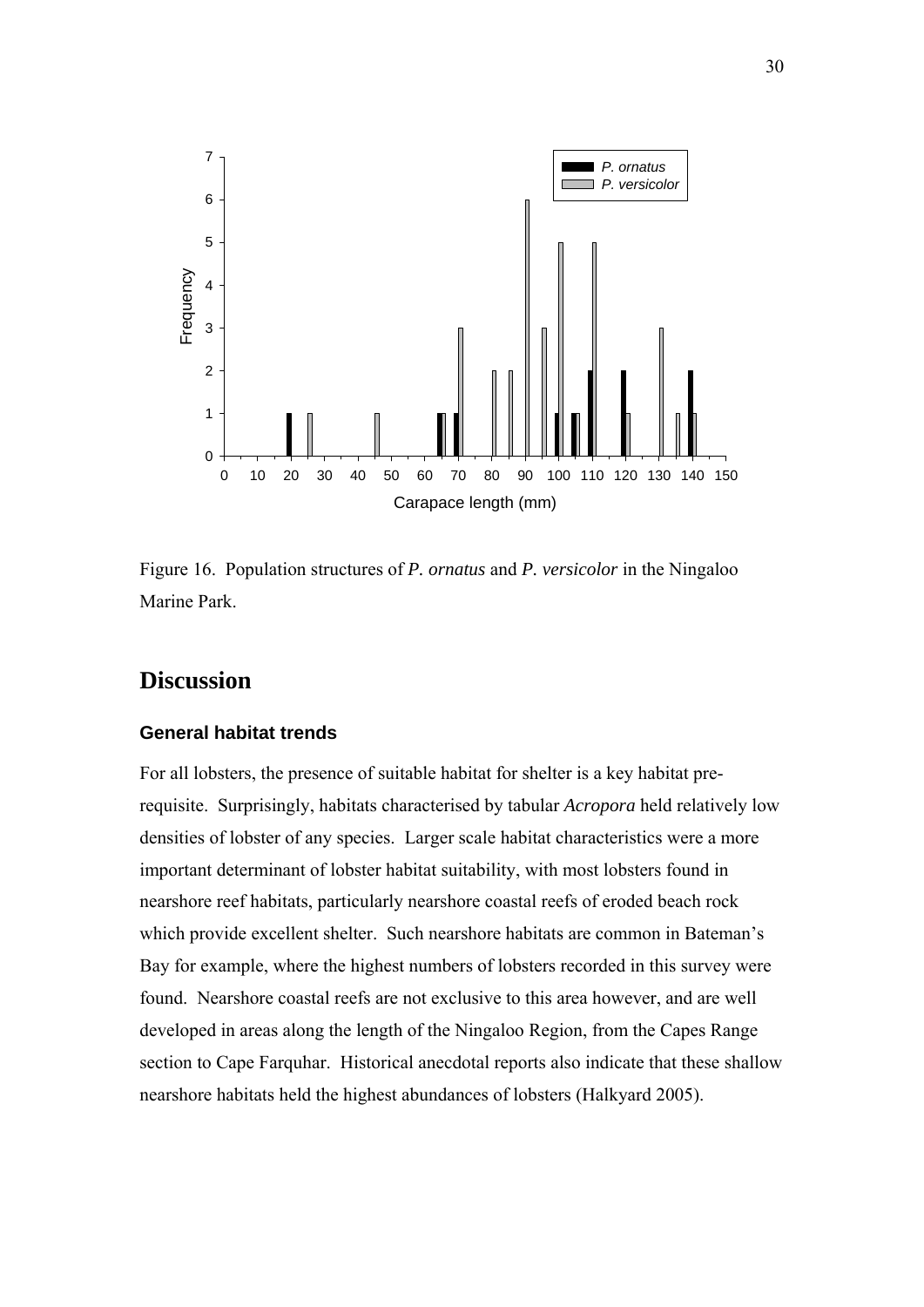<span id="page-28-0"></span>

Figure 16. Population structures of *P. ornatus* and *P. versicolor* in the Ningaloo Marine Park.

## **Discussion**

#### **General habitat trends**

For all lobsters, the presence of suitable habitat for shelter is a key habitat prerequisite. Surprisingly, habitats characterised by tabular *Acropora* held relatively low densities of lobster of any species. Larger scale habitat characteristics were a more important determinant of lobster habitat suitability, with most lobsters found in nearshore reef habitats, particularly nearshore coastal reefs of eroded beach rock which provide excellent shelter. Such nearshore habitats are common in Bateman's Bay for example, where the highest numbers of lobsters recorded in this survey were found. Nearshore coastal reefs are not exclusive to this area however, and are well developed in areas along the length of the Ningaloo Region, from the Capes Range section to Cape Farquhar. Historical anecdotal reports also indicate that these shallow nearshore habitats held the highest abundances of lobsters (Halkyard 2005).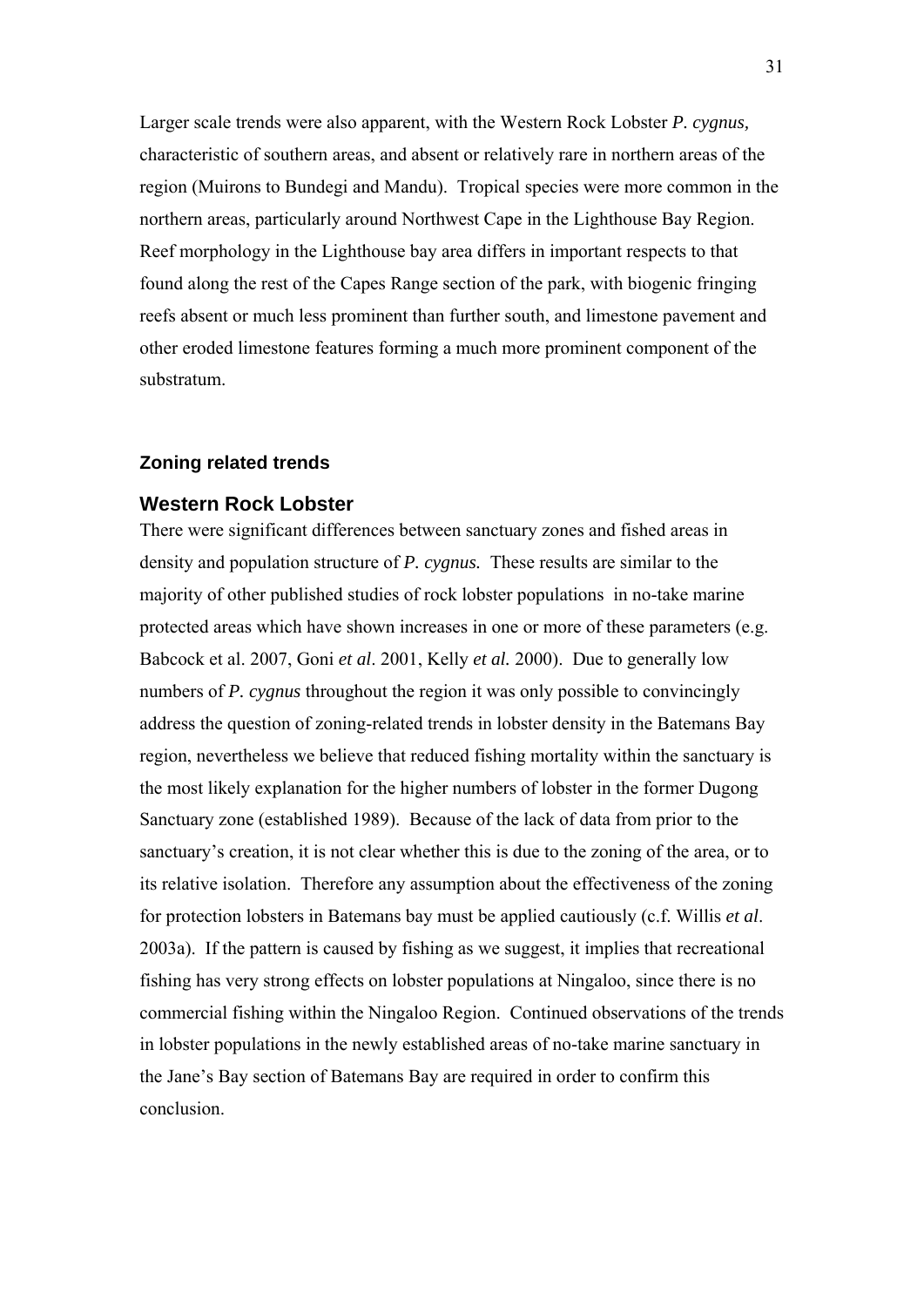<span id="page-29-0"></span>Larger scale trends were also apparent, with the Western Rock Lobster *P. cygnus,*  characteristic of southern areas, and absent or relatively rare in northern areas of the region (Muirons to Bundegi and Mandu). Tropical species were more common in the northern areas, particularly around Northwest Cape in the Lighthouse Bay Region. Reef morphology in the Lighthouse bay area differs in important respects to that found along the rest of the Capes Range section of the park, with biogenic fringing reefs absent or much less prominent than further south, and limestone pavement and other eroded limestone features forming a much more prominent component of the substratum.

#### **Zoning related trends**

#### **Western Rock Lobster**

There were significant differences between sanctuary zones and fished areas in density and population structure of *P. cygnus.* These results are similar to the majority of other published studies of rock lobster populations in no-take marine protected areas which have shown increases in one or more of these parameters (e.g. Babcock et al. 2007, Goni *et al*. 2001, Kelly *et al.* 2000). Due to generally low numbers of *P. cygnus* throughout the region it was only possible to convincingly address the question of zoning-related trends in lobster density in the Batemans Bay region, nevertheless we believe that reduced fishing mortality within the sanctuary is the most likely explanation for the higher numbers of lobster in the former Dugong Sanctuary zone (established 1989). Because of the lack of data from prior to the sanctuary's creation, it is not clear whether this is due to the zoning of the area, or to its relative isolation. Therefore any assumption about the effectiveness of the zoning for protection lobsters in Batemans bay must be applied cautiously (c.f. Willis *et al*. 2003a). If the pattern is caused by fishing as we suggest, it implies that recreational fishing has very strong effects on lobster populations at Ningaloo, since there is no commercial fishing within the Ningaloo Region. Continued observations of the trends in lobster populations in the newly established areas of no-take marine sanctuary in the Jane's Bay section of Batemans Bay are required in order to confirm this conclusion.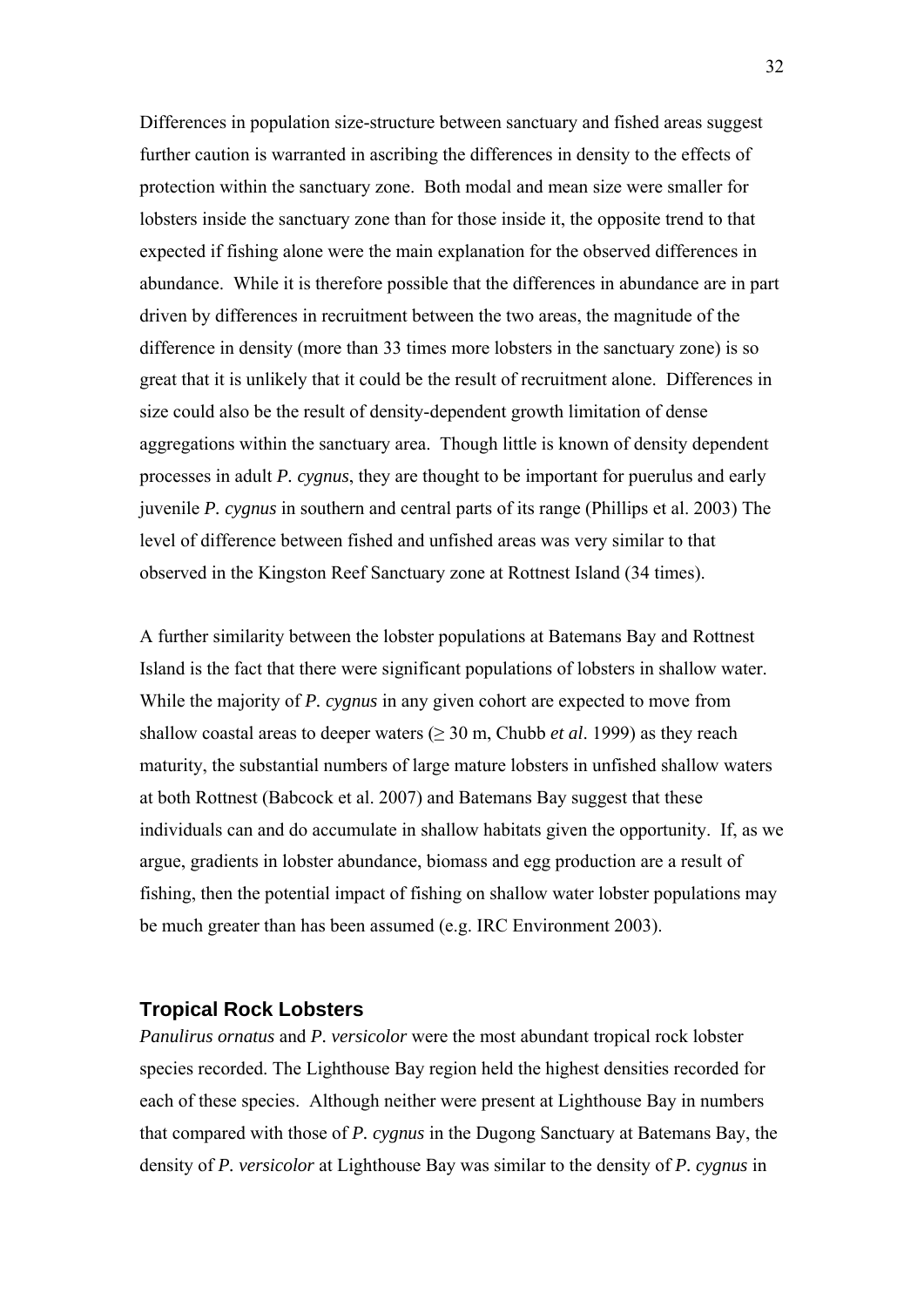<span id="page-30-0"></span>Differences in population size-structure between sanctuary and fished areas suggest further caution is warranted in ascribing the differences in density to the effects of protection within the sanctuary zone. Both modal and mean size were smaller for lobsters inside the sanctuary zone than for those inside it, the opposite trend to that expected if fishing alone were the main explanation for the observed differences in abundance. While it is therefore possible that the differences in abundance are in part driven by differences in recruitment between the two areas, the magnitude of the difference in density (more than 33 times more lobsters in the sanctuary zone) is so great that it is unlikely that it could be the result of recruitment alone. Differences in size could also be the result of density-dependent growth limitation of dense aggregations within the sanctuary area. Though little is known of density dependent processes in adult *P. cygnus*, they are thought to be important for puerulus and early juvenile *P. cygnus* in southern and central parts of its range (Phillips et al. 2003) The level of difference between fished and unfished areas was very similar to that observed in the Kingston Reef Sanctuary zone at Rottnest Island (34 times).

A further similarity between the lobster populations at Batemans Bay and Rottnest Island is the fact that there were significant populations of lobsters in shallow water. While the majority of *P. cygnus* in any given cohort are expected to move from shallow coastal areas to deeper waters  $(≥ 30 \text{ m},$  Chubb *et al.* 1999) as they reach maturity, the substantial numbers of large mature lobsters in unfished shallow waters at both Rottnest (Babcock et al. 2007) and Batemans Bay suggest that these individuals can and do accumulate in shallow habitats given the opportunity. If, as we argue, gradients in lobster abundance, biomass and egg production are a result of fishing, then the potential impact of fishing on shallow water lobster populations may be much greater than has been assumed (e.g. IRC Environment 2003).

#### **Tropical Rock Lobsters**

*Panulirus ornatus* and *P. versicolor* were the most abundant tropical rock lobster species recorded. The Lighthouse Bay region held the highest densities recorded for each of these species. Although neither were present at Lighthouse Bay in numbers that compared with those of *P. cygnus* in the Dugong Sanctuary at Batemans Bay, the density of *P. versicolor* at Lighthouse Bay was similar to the density of *P. cygnus* in

32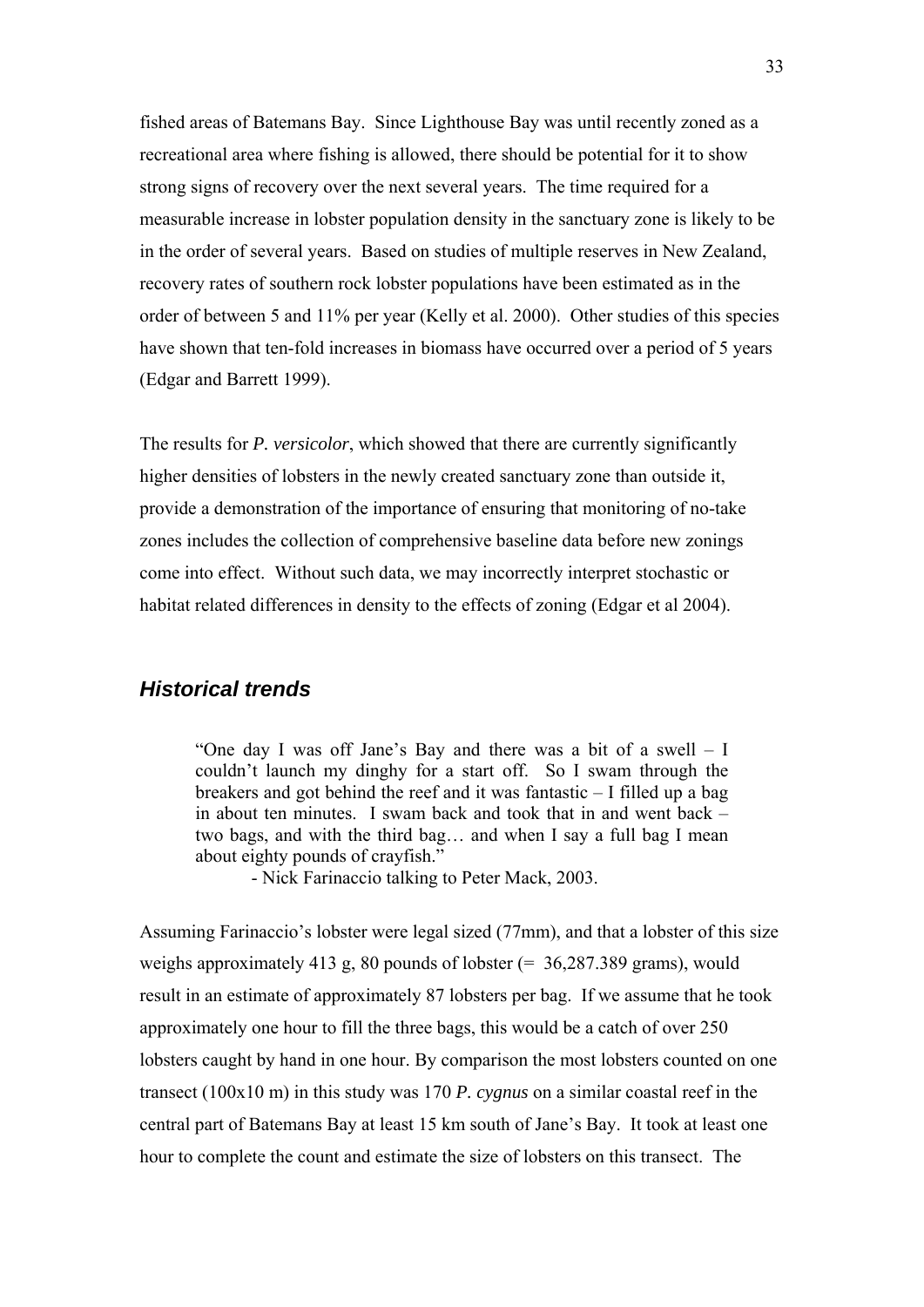<span id="page-31-0"></span>fished areas of Batemans Bay. Since Lighthouse Bay was until recently zoned as a recreational area where fishing is allowed, there should be potential for it to show strong signs of recovery over the next several years. The time required for a measurable increase in lobster population density in the sanctuary zone is likely to be in the order of several years. Based on studies of multiple reserves in New Zealand, recovery rates of southern rock lobster populations have been estimated as in the order of between 5 and 11% per year (Kelly et al. 2000). Other studies of this species have shown that ten-fold increases in biomass have occurred over a period of 5 years (Edgar and Barrett 1999).

The results for *P. versicolor*, which showed that there are currently significantly higher densities of lobsters in the newly created sanctuary zone than outside it, provide a demonstration of the importance of ensuring that monitoring of no-take zones includes the collection of comprehensive baseline data before new zonings come into effect. Without such data, we may incorrectly interpret stochastic or habitat related differences in density to the effects of zoning (Edgar et al 2004).

### *Historical trends*

"One day I was off Jane's Bay and there was a bit of a swell – I couldn't launch my dinghy for a start off. So I swam through the breakers and got behind the reef and it was fantastic – I filled up a bag in about ten minutes. I swam back and took that in and went back – two bags, and with the third bag… and when I say a full bag I mean about eighty pounds of crayfish."

- Nick Farinaccio talking to Peter Mack, 2003.

Assuming Farinaccio's lobster were legal sized (77mm), and that a lobster of this size weighs approximately 413 g, 80 pounds of lobster  $(= 36,287.389$  grams), would result in an estimate of approximately 87 lobsters per bag. If we assume that he took approximately one hour to fill the three bags, this would be a catch of over 250 lobsters caught by hand in one hour. By comparison the most lobsters counted on one transect (100x10 m) in this study was 170 *P. cygnus* on a similar coastal reef in the central part of Batemans Bay at least 15 km south of Jane's Bay. It took at least one hour to complete the count and estimate the size of lobsters on this transect. The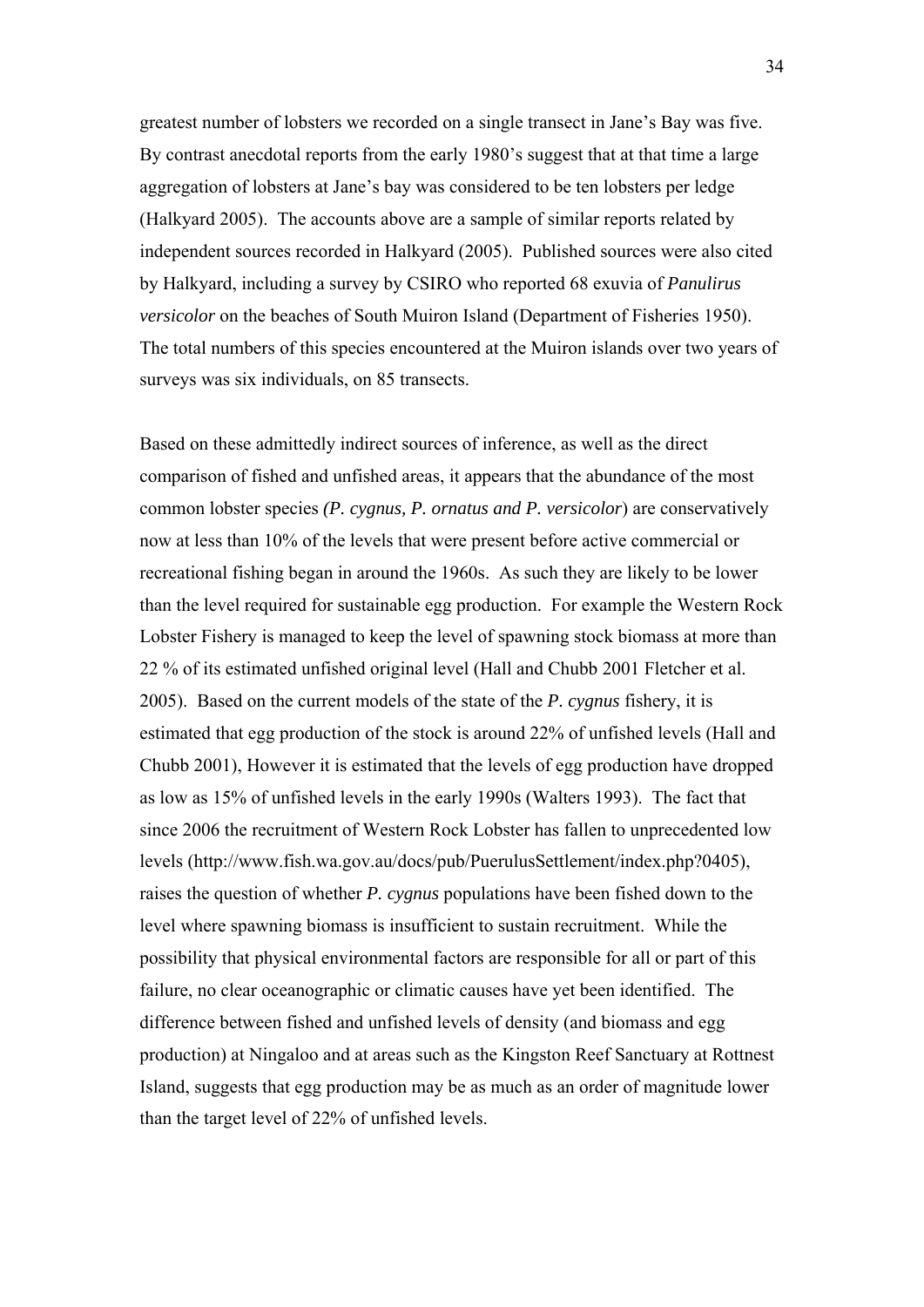greatest number of lobsters we recorded on a single transect in Jane's Bay was five. By contrast anecdotal reports from the early 1980's suggest that at that time a large aggregation of lobsters at Jane's bay was considered to be ten lobsters per ledge (Halkyard 2005). The accounts above are a sample of similar reports related by independent sources recorded in Halkyard (2005). Published sources were also cited by Halkyard, including a survey by CSIRO who reported 68 exuvia of *Panulirus versicolor* on the beaches of South Muiron Island (Department of Fisheries 1950). The total numbers of this species encountered at the Muiron islands over two years of surveys was six individuals, on 85 transects.

Based on these admittedly indirect sources of inference, as well as the direct comparison of fished and unfished areas, it appears that the abundance of the most common lobster species *(P. cygnus, P. ornatus and P. versicolor*) are conservatively now at less than 10% of the levels that were present before active commercial or recreational fishing began in around the 1960s. As such they are likely to be lower than the level required for sustainable egg production. For example the Western Rock Lobster Fishery is managed to keep the level of spawning stock biomass at more than 22 % of its estimated unfished original level (Hall and Chubb 2001 Fletcher et al. 2005). Based on the current models of the state of the *P. cygnus* fishery, it is estimated that egg production of the stock is around 22% of unfished levels (Hall and Chubb 2001), However it is estimated that the levels of egg production have dropped as low as 15% of unfished levels in the early 1990s (Walters 1993). The fact that since 2006 the recruitment of Western Rock Lobster has fallen to unprecedented low levels (http://www.fish.wa.gov.au/docs/pub/PuerulusSettlement/index.php?0405), raises the question of whether *P. cygnus* populations have been fished down to the level where spawning biomass is insufficient to sustain recruitment. While the possibility that physical environmental factors are responsible for all or part of this failure, no clear oceanographic or climatic causes have yet been identified. The difference between fished and unfished levels of density (and biomass and egg production) at Ningaloo and at areas such as the Kingston Reef Sanctuary at Rottnest Island, suggests that egg production may be as much as an order of magnitude lower than the target level of 22% of unfished levels.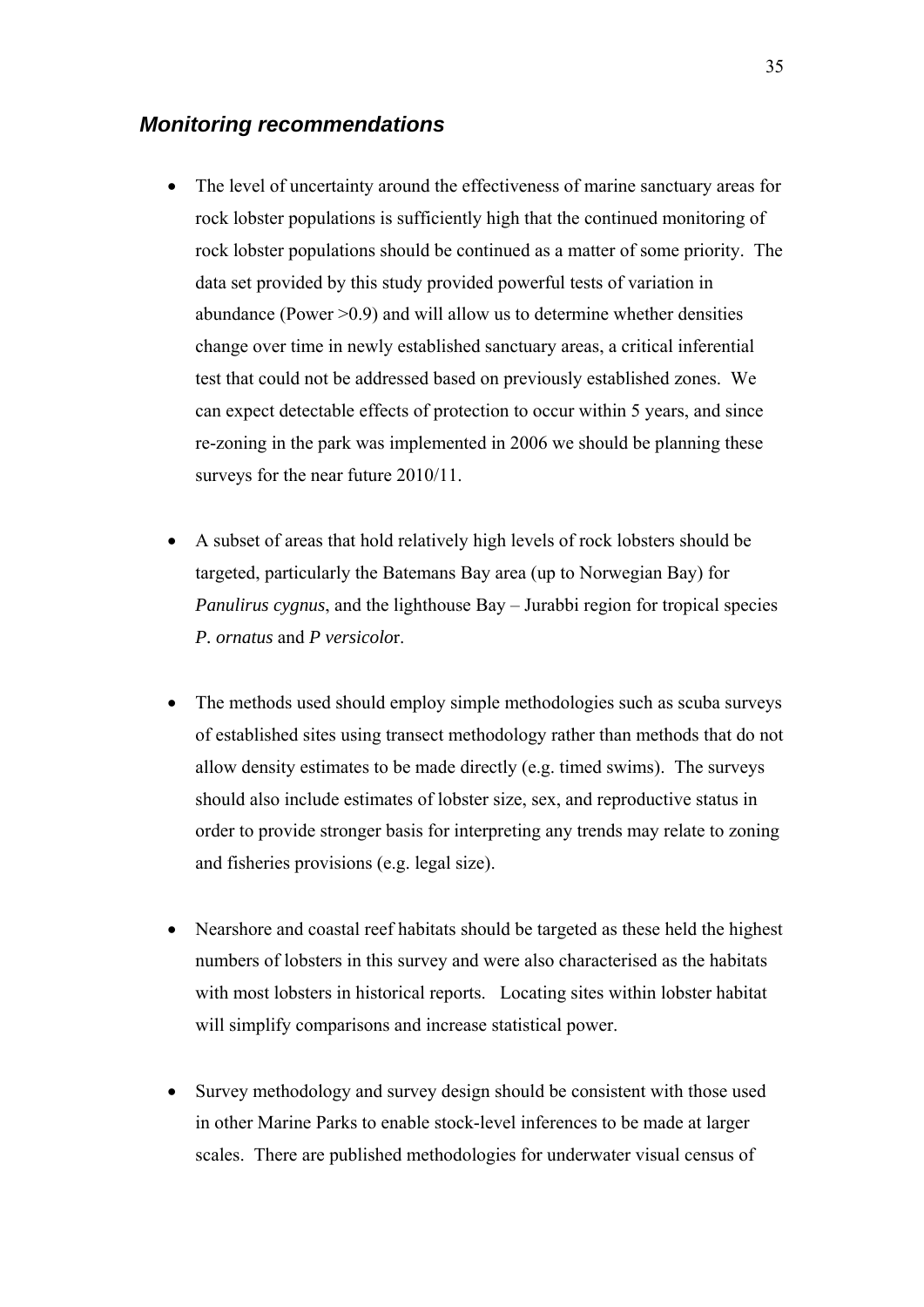#### <span id="page-33-0"></span>*Monitoring recommendations*

- The level of uncertainty around the effectiveness of marine sanctuary areas for rock lobster populations is sufficiently high that the continued monitoring of rock lobster populations should be continued as a matter of some priority. The data set provided by this study provided powerful tests of variation in abundance (Power  $>0.9$ ) and will allow us to determine whether densities change over time in newly established sanctuary areas, a critical inferential test that could not be addressed based on previously established zones. We can expect detectable effects of protection to occur within 5 years, and since re-zoning in the park was implemented in 2006 we should be planning these surveys for the near future  $2010/11$ .
- A subset of areas that hold relatively high levels of rock lobsters should be targeted, particularly the Batemans Bay area (up to Norwegian Bay) for *Panulirus cygnus*, and the lighthouse Bay – Jurabbi region for tropical species *P. ornatus* and *P versicolo*r.
- The methods used should employ simple methodologies such as scuba surveys of established sites using transect methodology rather than methods that do not allow density estimates to be made directly (e.g. timed swims). The surveys should also include estimates of lobster size, sex, and reproductive status in order to provide stronger basis for interpreting any trends may relate to zoning and fisheries provisions (e.g. legal size).
- Nearshore and coastal reef habitats should be targeted as these held the highest numbers of lobsters in this survey and were also characterised as the habitats with most lobsters in historical reports. Locating sites within lobster habitat will simplify comparisons and increase statistical power.
- Survey methodology and survey design should be consistent with those used in other Marine Parks to enable stock-level inferences to be made at larger scales. There are published methodologies for underwater visual census of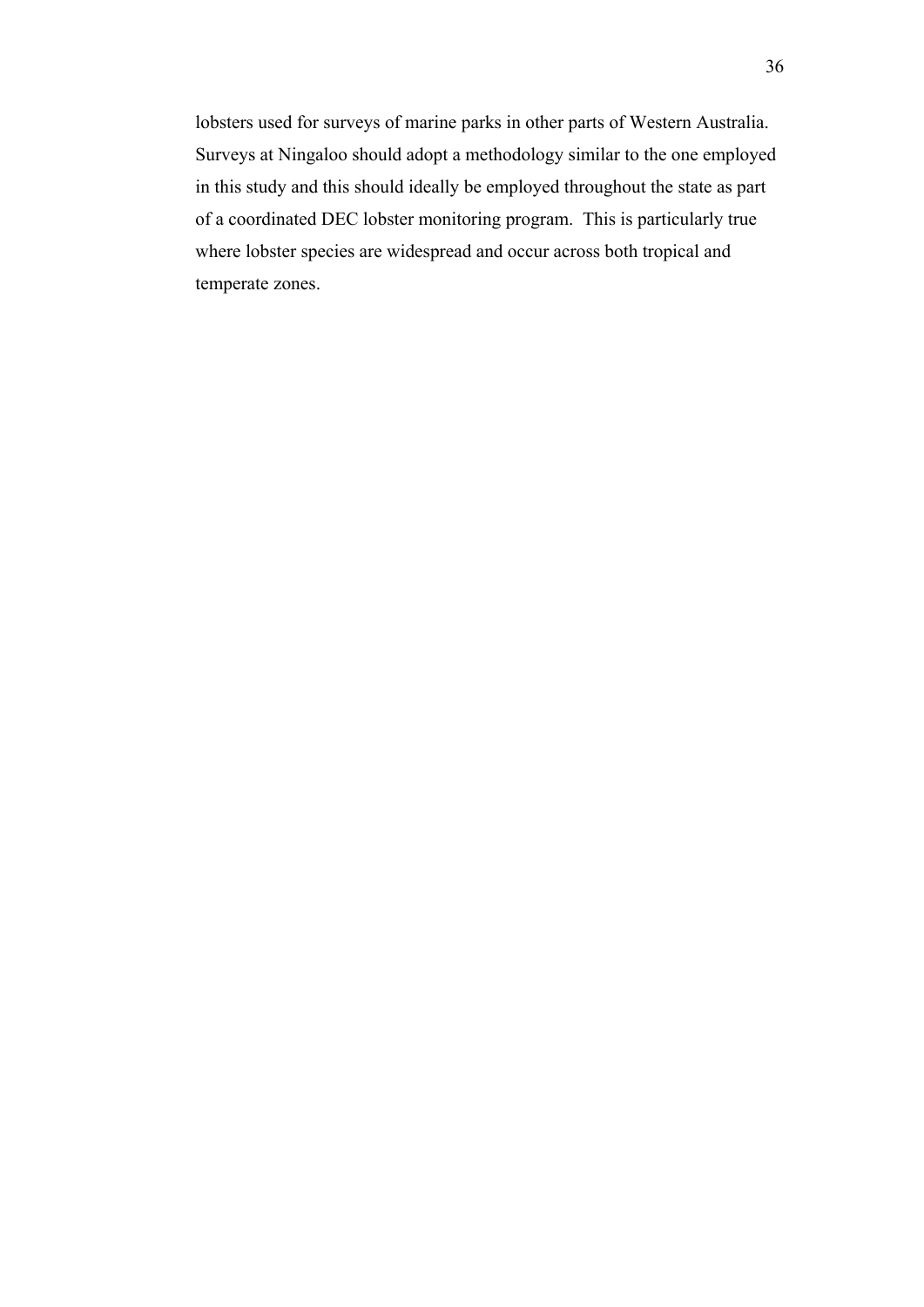lobsters used for surveys of marine parks in other parts of Western Australia. Surveys at Ningaloo should adopt a methodology similar to the one employed in this study and this should ideally be employed throughout the state as part of a coordinated DEC lobster monitoring program. This is particularly true where lobster species are widespread and occur across both tropical and temperate zones.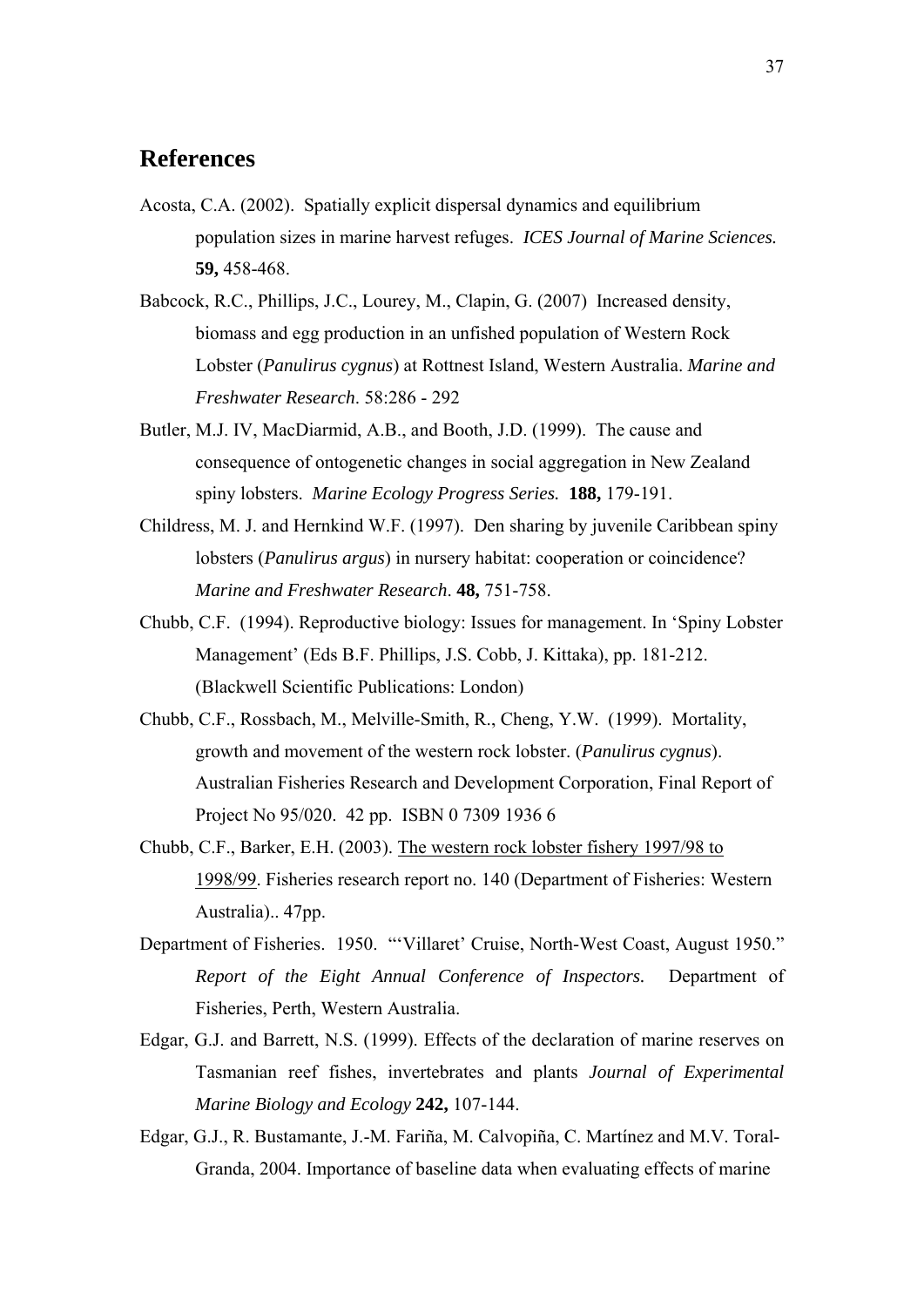## <span id="page-35-0"></span>**References**

- Acosta, C.A. (2002). Spatially explicit dispersal dynamics and equilibrium population sizes in marine harvest refuges. *ICES Journal of Marine Sciences.* **59,** 458-468.
- Babcock, R.C., Phillips, J.C., Lourey, M., Clapin, G. (2007) Increased density, biomass and egg production in an unfished population of Western Rock Lobster (*Panulirus cygnus*) at Rottnest Island, Western Australia. *Marine and Freshwater Research*. 58:286 - 292
- Butler, M.J. IV, MacDiarmid, A.B., and Booth, J.D. (1999). The cause and consequence of ontogenetic changes in social aggregation in New Zealand spiny lobsters. *Marine Ecology Progress Series.* **188,** 179-191.
- Childress, M. J. and Hernkind W.F. (1997). Den sharing by juvenile Caribbean spiny lobsters (*Panulirus argus*) in nursery habitat: cooperation or coincidence? *Marine and Freshwater Research*. **48,** 751-758.
- Chubb, C.F. (1994). Reproductive biology: Issues for management. In 'Spiny Lobster Management' (Eds B.F. Phillips, J.S. Cobb, J. Kittaka), pp. 181-212. (Blackwell Scientific Publications: London)
- Chubb, C.F., Rossbach, M., Melville-Smith, R., Cheng, Y.W. (1999). Mortality, growth and movement of the western rock lobster. (*Panulirus cygnus*). Australian Fisheries Research and Development Corporation, Final Report of Project No 95/020. 42 pp. ISBN 0 7309 1936 6
- Chubb, C.F., Barker, E.H. (2003). [The western rock lobster fishery 1997/98 to](http://www.fish.wa.gov.au/res/broc/frr/frr140/index.html)  [1998/99](http://www.fish.wa.gov.au/res/broc/frr/frr140/index.html). Fisheries research report no. 140 (Department of Fisheries: Western Australia).. 47pp.
- Department of Fisheries. 1950. "'Villaret' Cruise, North-West Coast, August 1950." *Report of the Eight Annual Conference of Inspectors.* Department of Fisheries, Perth, Western Australia.
- Edgar, G.J. and Barrett, N.S. (1999). Effects of the declaration of marine reserves on Tasmanian reef fishes, invertebrates and plants *Journal of Experimental Marine Biology and Ecology* **242,** 107-144.
- Edgar, G.J., R. Bustamante, J.-M. Fariña, M. Calvopiña, C. Martínez and M.V. Toral-Granda, 2004. Importance of baseline data when evaluating effects of marine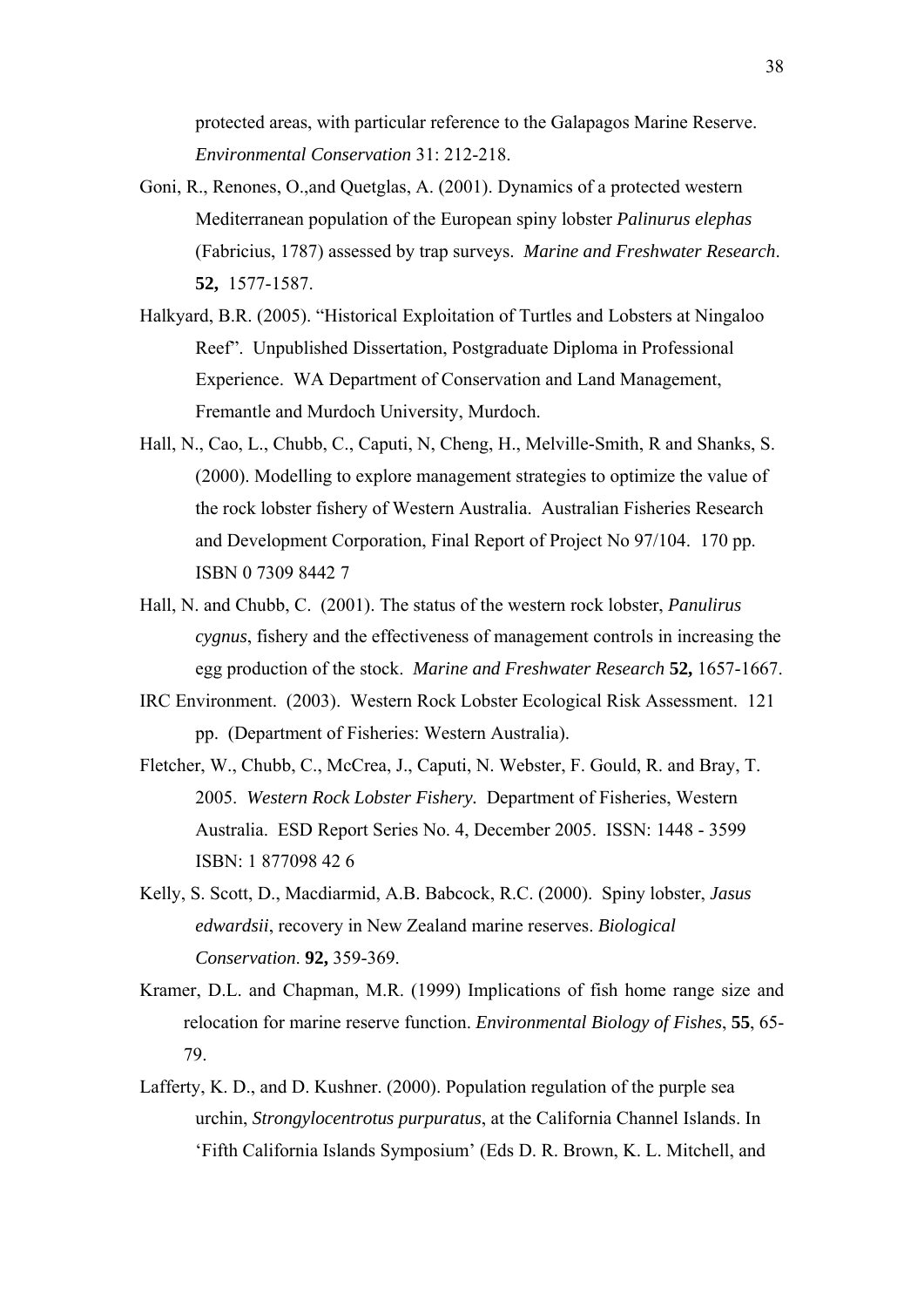protected areas, with particular reference to the Galapagos Marine Reserve. *Environmental Conservation* 31: 212-218.

- Goni, R., Renones, O.,and Quetglas, A. (2001). Dynamics of a protected western Mediterranean population of the European spiny lobster *Palinurus elephas* (Fabricius, 1787) assessed by trap surveys. *Marine and Freshwater Research*. **52,** 1577-1587.
- Halkyard, B.R. (2005). "Historical Exploitation of Turtles and Lobsters at Ningaloo Reef". Unpublished Dissertation, Postgraduate Diploma in Professional Experience. WA Department of Conservation and Land Management, Fremantle and Murdoch University, Murdoch.
- Hall, N., Cao, L., Chubb, C., Caputi, N, Cheng, H., Melville-Smith, R and Shanks, S. (2000). Modelling to explore management strategies to optimize the value of the rock lobster fishery of Western Australia. Australian Fisheries Research and Development Corporation, Final Report of Project No 97/104. 170 pp. ISBN 0 7309 8442 7
- Hall, N. and Chubb, C. (2001). The status of the western rock lobster, *Panulirus cygnus*, fishery and the effectiveness of management controls in increasing the egg production of the stock. *Marine and Freshwater Research* **52,** 1657-1667.
- IRC Environment. (2003). Western Rock Lobster Ecological Risk Assessment. 121 pp. (Department of Fisheries: Western Australia).
- Fletcher, W., Chubb, C., McCrea, J., Caputi, N. Webster, F. Gould, R. and Bray, T. 2005. *Western Rock Lobster Fishery.* Department of Fisheries, Western Australia. ESD Report Series No. 4, December 2005. ISSN: 1448 - 3599 ISBN: 1 877098 42 6
- Kelly, S. Scott, D., Macdiarmid, A.B. Babcock, R.C. (2000). Spiny lobster, *Jasus edwardsii*, recovery in New Zealand marine reserves. *Biological Conservation*. **92,** 359-369.
- Kramer, D.L. and Chapman, M.R. (1999) Implications of fish home range size and relocation for marine reserve function. *Environmental Biology of Fishes*, **55**, 65- 79.
- Lafferty, K. D., and D. Kushner. (2000). Population regulation of the purple sea urchin, *Strongylocentrotus purpuratus*, at the California Channel Islands. In 'Fifth California Islands Symposium' (Eds D. R. Brown, K. L. Mitchell, and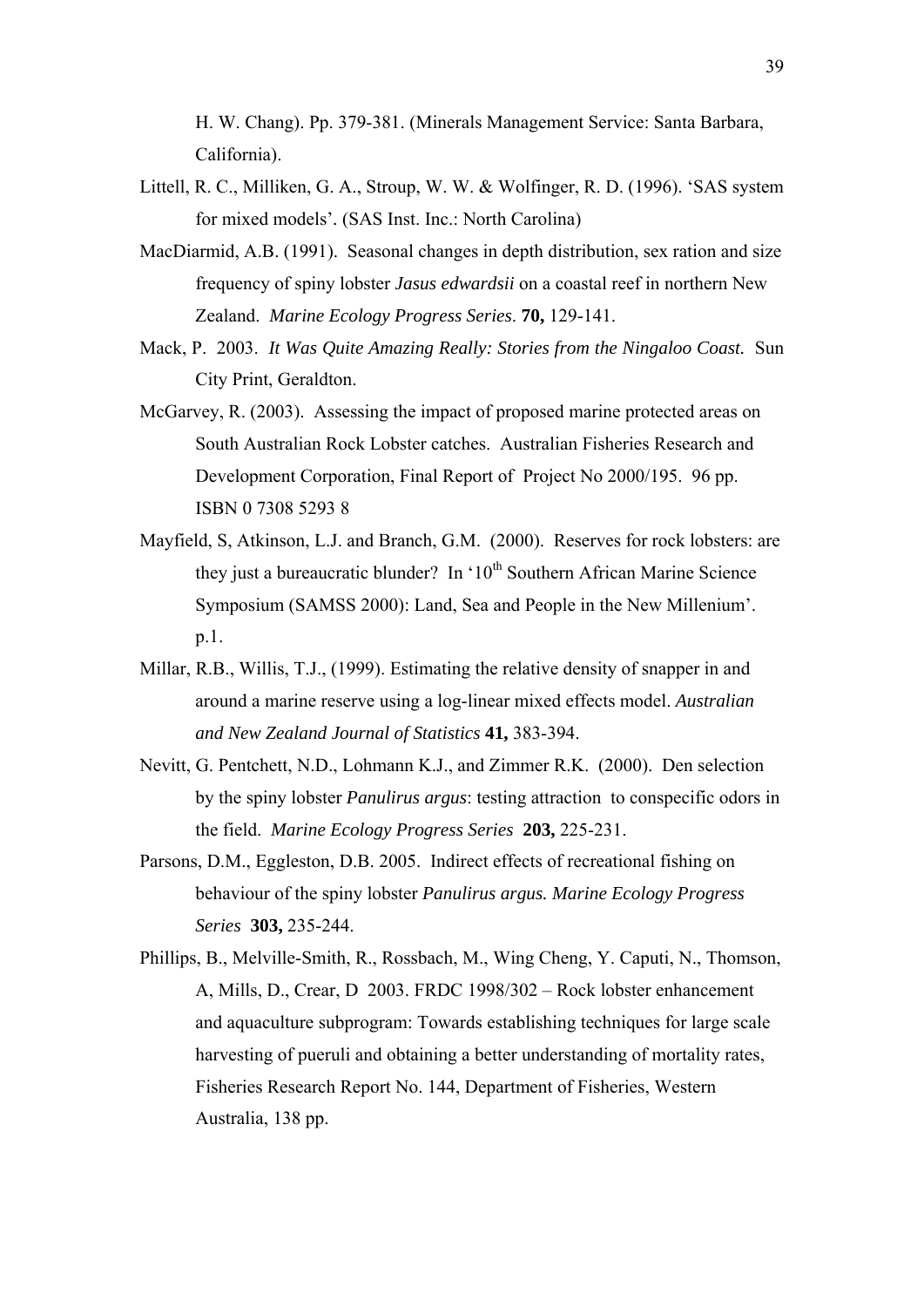H. W. Chang). Pp. 379-381. (Minerals Management Service: Santa Barbara, California).

- Littell, R. C., Milliken, G. A., Stroup, W. W. & Wolfinger, R. D. (1996). 'SAS system for mixed models'*.* (SAS Inst. Inc.: North Carolina)
- MacDiarmid, A.B. (1991). Seasonal changes in depth distribution, sex ration and size frequency of spiny lobster *Jasus edwardsii* on a coastal reef in northern New Zealand. *Marine Ecology Progress Series*. **70,** 129-141.
- Mack, P. 2003. *It Was Quite Amazing Really: Stories from the Ningaloo Coast.* Sun City Print, Geraldton.
- McGarvey, R. (2003). Assessing the impact of proposed marine protected areas on South Australian Rock Lobster catches. Australian Fisheries Research and Development Corporation, Final Report of Project No 2000/195. 96 pp. ISBN 0 7308 5293 8
- Mayfield, S, Atkinson, L.J. and Branch, G.M. (2000). Reserves for rock lobsters: are they just a bureaucratic blunder? In  $10^{th}$  Southern African Marine Science Symposium (SAMSS 2000): Land, Sea and People in the New Millenium'. p.1.
- Millar, R.B., Willis, T.J., (1999). Estimating the relative density of snapper in and around a marine reserve using a log-linear mixed effects model. *Australian and New Zealand Journal of Statistics* **41,** 383-394.
- Nevitt, G. Pentchett, N.D., Lohmann K.J., and Zimmer R.K. (2000). Den selection by the spiny lobster *Panulirus argus*: testing attraction to conspecific odors in the field. *Marine Ecology Progress Series* **203,** 225-231.
- Parsons, D.M., Eggleston, D.B. 2005. Indirect effects of recreational fishing on behaviour of the spiny lobster *Panulirus argus. Marine Ecology Progress Series* **303,** 235-244.
- Phillips, B., Melville-Smith, R., Rossbach, M., Wing Cheng, Y. Caputi, N., Thomson, A, Mills, D., Crear, D 2003. FRDC 1998/302 – Rock lobster enhancement and aquaculture subprogram: Towards establishing techniques for large scale harvesting of pueruli and obtaining a better understanding of mortality rates, Fisheries Research Report No. 144, Department of Fisheries, Western Australia, 138 pp.